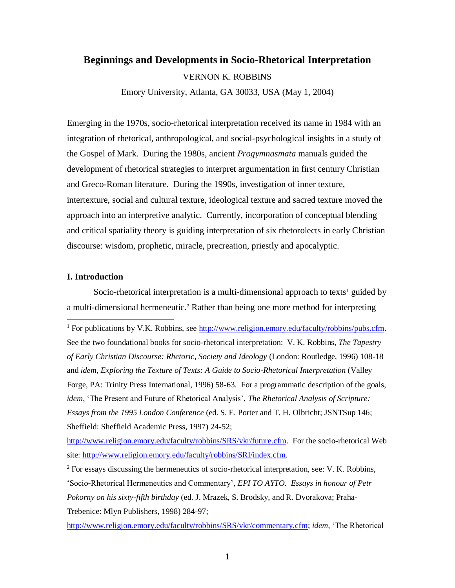# **Beginnings and Developments in Socio-Rhetorical Interpretation** VERNON K. ROBBINS

Emory University, Atlanta, GA 30033, USA (May 1, 2004)

Emerging in the 1970s, socio-rhetorical interpretation received its name in 1984 with an integration of rhetorical, anthropological, and social-psychological insights in a study of the Gospel of Mark. During the 1980s, ancient *Progymnasmata* manuals guided the development of rhetorical strategies to interpret argumentation in first century Christian and Greco-Roman literature. During the 1990s, investigation of inner texture, intertexture, social and cultural texture, ideological texture and sacred texture moved the approach into an interpretive analytic. Currently, incorporation of conceptual blending and critical spatiality theory is guiding interpretation of six rhetorolects in early Christian discourse: wisdom, prophetic, miracle, precreation, priestly and apocalyptic.

#### **I. Introduction**

 $\overline{a}$ 

Socio-rhetorical interpretation is a multi-dimensional approach to texts<sup>1</sup> guided by a multi-dimensional hermeneutic.<sup>2</sup> Rather than being one more method for interpreting

<sup>1</sup> For publications by V.K. Robbins, see  $\frac{http://www.religion.emory.edu/faculty/robbins/pubs.cfm.}$ See the two foundational books for socio-rhetorical interpretation: V. K. Robbins, *The Tapestry of Early Christian Discourse: Rhetoric, Society and Ideology* (London: Routledge, 1996) 108-18 and *idem, Exploring the Texture of Texts: A Guide to Socio-Rhetorical Interpretation* (Valley Forge, PA: Trinity Press International, 1996) 58-63. For a programmatic description of the goals, *idem*, 'The Present and Future of Rhetorical Analysis', *The Rhetorical Analysis of Scripture: Essays from the 1995 London Conference* (ed. S. E. Porter and T. H. Olbricht; JSNTSup 146; Sheffield: Sheffield Academic Press, 1997) 24-52;

[http://www.religion.emory.edu/faculty/robbins/SRS/vkr/future.cfm.](http://www.religion.emory.edu/faculty/robbins/SRS/vkr/future.cfm) For the socio-rhetorical Web site: [http://www.religion.emory.edu/faculty/robbins/SRI/index.cfm.](http://www.religion.emory.edu/faculty/robbins/SRI/index.cfm)

<sup>2</sup> For essays discussing the hermeneutics of socio-rhetorical interpretation, see: V. K. Robbins, 'Socio-Rhetorical Hermeneutics and Commentary', *EPI TO AYTO. Essays in honour of Petr Pokorny on his sixty-fifth birthday* (ed. J. Mrazek, S. Brodsky, and R. Dvorakova; Praha-Trebenice: Mlyn Publishers, 1998) 284-97;

[http://www.religion.emory.edu/faculty/robbins/SRS/vkr/commentary.cfm;](http://www.religion.emory.edu/faculty/robbins/SRS/vkr/commentary.cfm) *idem,* 'The Rhetorical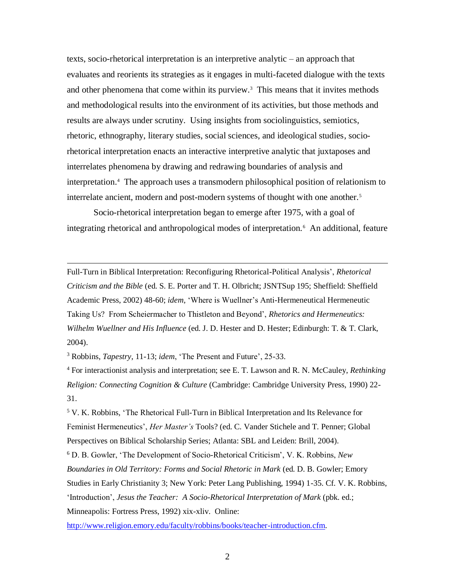texts, socio-rhetorical interpretation is an interpretive analytic – an approach that evaluates and reorients its strategies as it engages in multi-faceted dialogue with the texts and other phenomena that come within its purview. $3$  This means that it invites methods and methodological results into the environment of its activities, but those methods and results are always under scrutiny. Using insights from sociolinguistics, semiotics, rhetoric, ethnography, literary studies, social sciences, and ideological studies, sociorhetorical interpretation enacts an interactive interpretive analytic that juxtaposes and interrelates phenomena by drawing and redrawing boundaries of analysis and interpretation. 4 The approach uses a transmodern philosophical position of relationism to interrelate ancient, modern and post-modern systems of thought with one another.<sup>5</sup>

Socio-rhetorical interpretation began to emerge after 1975, with a goal of integrating rhetorical and anthropological modes of interpretation.<sup>6</sup> An additional, feature

Full-Turn in Biblical Interpretation: Reconfiguring Rhetorical-Political Analysis', *Rhetorical Criticism and the Bible* (ed. S. E. Porter and T. H. Olbricht; JSNTSup 195; Sheffield: Sheffield Academic Press, 2002) 48-60; *idem,* 'Where is Wuellner's Anti-Hermeneutical Hermeneutic Taking Us? From Scheiermacher to Thistleton and Beyond', *Rhetorics and Hermeneutics: Wilhelm Wuellner and His Influence* (ed. J. D. Hester and D. Hester; Edinburgh: T. & T. Clark, 2004).

<sup>3</sup> Robbins, *Tapestry*, 11-13; *idem*, 'The Present and Future', 25-33.

 $\overline{a}$ 

<sup>4</sup> For interactionist analysis and interpretation; see E. T. Lawson and R. N. McCauley, *Rethinking Religion: Connecting Cognition & Culture* (Cambridge: Cambridge University Press, 1990) 22- 31.

<sup>5</sup> V. K. Robbins*,* 'The Rhetorical Full-Turn in Biblical Interpretation and Its Relevance for Feminist Hermeneutics', *Her Master's* Tools? (ed. C. Vander Stichele and T. Penner; Global Perspectives on Biblical Scholarship Series; Atlanta: SBL and Leiden: Brill, 2004).

<sup>6</sup> D. B. Gowler, 'The Development of Socio-Rhetorical Criticism', V. K. Robbins, *New Boundaries in Old Territory: Forms and Social Rhetoric in Mark* (ed. D. B. Gowler; Emory Studies in Early Christianity 3; New York: Peter Lang Publishing, 1994) 1-35. Cf. V. K. Robbins, 'Introduction', *Jesus the Teacher: A Socio-Rhetorical Interpretation of Mark* (pbk. ed.; Minneapolis: Fortress Press, 1992) xix-xliv. Online:

[http://www.religion.emory.edu/faculty/robbins/books/teacher-introduction.cfm.](http://www.religion.emory.edu/faculty/robbins/books/teacher-introduction.cfm)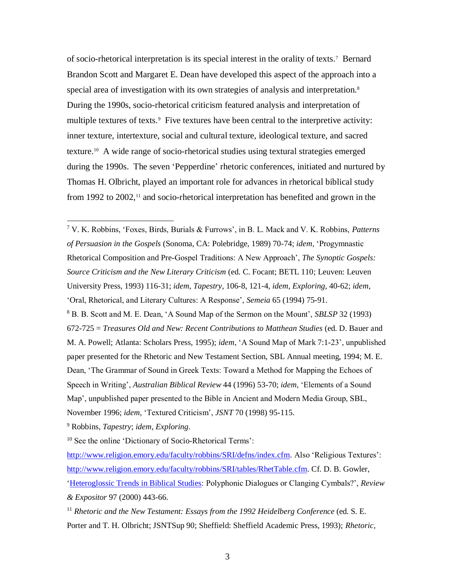of socio-rhetorical interpretation is its special interest in the orality of texts.<sup>7</sup> Bernard Brandon Scott and Margaret E. Dean have developed this aspect of the approach into a special area of investigation with its own strategies of analysis and interpretation.<sup>8</sup> During the 1990s, socio-rhetorical criticism featured analysis and interpretation of multiple textures of texts.<sup>9</sup> Five textures have been central to the interpretive activity: inner texture, intertexture, social and cultural texture, ideological texture, and sacred texture.<sup>10</sup> A wide range of socio-rhetorical studies using textural strategies emerged during the 1990s. The seven 'Pepperdine' rhetoric conferences, initiated and nurtured by Thomas H. Olbricht, played an important role for advances in rhetorical biblical study from 1992 to 2002,<sup>11</sup> and socio-rhetorical interpretation has benefited and grown in the

<sup>7</sup> V. K. Robbins, 'Foxes, Birds, Burials & Furrows', in B. L. Mack and V. K. Robbins, *Patterns of Persuasion in the Gospels* (Sonoma, CA: Polebridge, 1989) 70-74; *idem*, 'Progymnastic Rhetorical Composition and Pre-Gospel Traditions: A New Approach', *The Synoptic Gospels: Source Criticism and the New Literary Criticism* (ed. C. Focant; BETL 110; Leuven: Leuven University Press, 1993) 116-31; *idem*, *Tapestry*, 106-8, 121-4, *idem*, *Exploring*, 40-62; *idem*, 'Oral, Rhetorical, and Literary Cultures: A Response', *Semeia* 65 (1994) 75-91.

<sup>8</sup> B. B. Scott and M. E. Dean, 'A Sound Map of the Sermon on the Mount', *SBLSP* 32 (1993) 672-725 = *Treasures Old and New: Recent Contributions to Matthean Studies* (ed. D. Bauer and M. A. Powell; Atlanta: Scholars Press, 1995); *idem*, 'A Sound Map of Mark 7:1-23', unpublished paper presented for the Rhetoric and New Testament Section, SBL Annual meeting, 1994; M. E. Dean, 'The Grammar of Sound in Greek Texts: Toward a Method for Mapping the Echoes of Speech in Writing', *Australian Biblical Review* 44 (1996) 53-70; *idem*, 'Elements of a Sound Map', unpublished paper presented to the Bible in Ancient and Modern Media Group, SBL, November 1996; *idem*, 'Textured Criticism', *JSNT* 70 (1998) 95-115.

<sup>9</sup> Robbins, *Tapestry*; *idem*, *Exploring*.

 $\overline{a}$ 

<sup>10</sup> See the online 'Dictionary of Socio-Rhetorical Terms':

[http://www.religion.emory.edu/faculty/robbins/SRI/defns/index.cfm.](http://www.religion.emory.edu/faculty/robbins/SRI/defns/index.cfm) Also 'Religious Textures': [http://www.religion.emory.edu/faculty/robbins/SRI/tables/RhetTable.cfm.](http://www.religion.emory.edu/faculty/robbins/SRI/tables/RhetTable.cfm) Cf. D. B. Gowler, ['Heteroglossic Trends in Biblical Studies:](https://www.academia.edu/3051101/Heteroglossic_Trends_in_Biblical_Studies_Polyphonic_Dialogues_or_Clanging_Cymbals) Polyphonic Dialogues or Clanging Cymbals?', *Review & Expositor* 97 (2000) 443-66.

<sup>11</sup> *Rhetoric and the New Testament: Essays from the 1992 Heidelberg Conference* (ed. S. E. Porter and T. H. Olbricht; JSNTSup 90; Sheffield: Sheffield Academic Press, 1993); *Rhetoric,*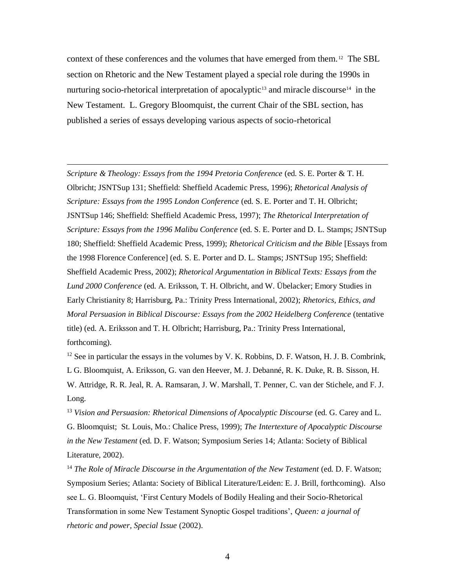context of these conferences and the volumes that have emerged from them.<sup>12</sup> The SBL section on Rhetoric and the New Testament played a special role during the 1990s in nurturing socio-rhetorical interpretation of apocalyptic<sup>13</sup> and miracle discourse<sup>14</sup> in the New Testament. L. Gregory Bloomquist, the current Chair of the SBL section, has published a series of essays developing various aspects of socio-rhetorical

 $\overline{a}$ 

*Scripture & Theology: Essays from the 1994 Pretoria Conference* (ed. S. E. Porter & T. H. Olbricht; JSNTSup 131; Sheffield: Sheffield Academic Press, 1996); *Rhetorical Analysis of Scripture: Essays from the 1995 London Conference* (ed. S. E. Porter and T. H. Olbricht; JSNTSup 146; Sheffield: Sheffield Academic Press, 1997); *The Rhetorical Interpretation of Scripture: Essays from the 1996 Malibu Conference* (ed. S. E. Porter and D. L. Stamps; JSNTSup 180; Sheffield: Sheffield Academic Press, 1999); *Rhetorical Criticism and the Bible* [Essays from the 1998 Florence Conference] (ed. S. E. Porter and D. L. Stamps; JSNTSup 195; Sheffield: Sheffield Academic Press, 2002); *Rhetorical Argumentation in Biblical Texts: Essays from the Lund 2000 Conference* (ed. A. Eriksson, T. H. Olbricht, and W. Übelacker; Emory Studies in Early Christianity 8; Harrisburg, Pa.: Trinity Press International, 2002); *Rhetorics, Ethics, and Moral Persuasion in Biblical Discourse: Essays from the 2002 Heidelberg Conference* (tentative title) (ed. A. Eriksson and T. H. Olbricht; Harrisburg, Pa.: Trinity Press International, forthcoming).

 $12$  See in particular the essays in the volumes by V. K. Robbins, D. F. Watson, H. J. B. Combrink, L G. Bloomquist, A. Eriksson, G. van den Heever, M. J. Debanné, R. K. Duke, R. B. Sisson, H. W. Attridge, R. R. Jeal, R. A. Ramsaran, J. W. Marshall, T. Penner, C. van der Stichele, and F. J. Long.

<sup>13</sup> *Vision and Persuasion: Rhetorical Dimensions of Apocalyptic Discourse* (ed. G. Carey and L. G. Bloomquist; St. Louis, Mo.: Chalice Press, 1999); *The Intertexture of Apocalyptic Discourse in the New Testament* (ed. D. F. Watson; Symposium Series 14; Atlanta: Society of Biblical Literature, 2002).

<sup>14</sup> *The Role of Miracle Discourse in the Argumentation of the New Testament* (ed. D. F. Watson; Symposium Series; Atlanta: Society of Biblical Literature/Leiden: E. J. Brill, forthcoming). Also see L. G. Bloomquist, 'First Century Models of Bodily Healing and their Socio-Rhetorical Transformation in some New Testament Synoptic Gospel traditions', *Queen: a journal of rhetoric and power, Special Issue* (2002).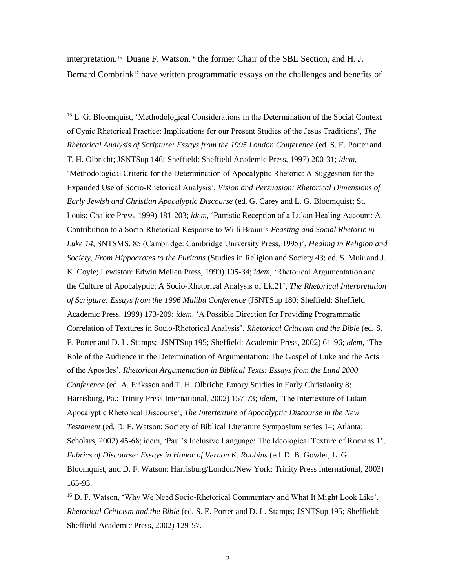interpretation.<sup>15</sup> Duane F. Watson, <sup>16</sup> the former Chair of the SBL Section, and H. J. Bernard Combrink<sup>17</sup> have written programmatic essays on the challenges and benefits of

 $\overline{a}$ 

<sup>15</sup> L. G. Bloomquist, 'Methodological Considerations in the Determination of the Social Context of Cynic Rhetorical Practice: Implications for our Present Studies of the Jesus Traditions', *The Rhetorical Analysis of Scripture: Essays from the 1995 London Conference* (ed. S. E. Porter and T. H. Olbricht; JSNTSup 146; Sheffield: Sheffield Academic Press, 1997) 200-31; *idem,*  'Methodological Criteria for the Determination of Apocalyptic Rhetoric: A Suggestion for the Expanded Use of Socio-Rhetorical Analysis', *Vision and Persuasion: Rhetorical Dimensions of Early Jewish and Christian Apocalyptic Discourse* (ed. G. Carey and L. G. Bloomquist**;** St. Louis: Chalice Press, 1999) 181-203; *idem,* 'Patristic Reception of a Lukan Healing Account: A Contribution to a Socio-Rhetorical Response to Willi Braun's *Feasting and Social Rhetoric in Luke 14,* SNTSMS, 85 (Cambridge: Cambridge University Press, 1995)', *Healing in Religion and Society, From Hippocrates to the Puritans* (Studies in Religion and Society 43; ed. S. Muir and J. K. Coyle; Lewiston: Edwin Mellen Press, 1999) 105-34; *idem,* 'Rhetorical Argumentation and the Culture of Apocalyptic: A Socio-Rhetorical Analysis of Lk.21', *The Rhetorical Interpretation of Scripture: Essays from the 1996 Malibu Conference* (JSNTSup 180; Sheffield: Sheffield Academic Press, 1999) 173-209; *idem,* 'A Possible Direction for Providing Programmatic Correlation of Textures in Socio-Rhetorical Analysis', *Rhetorical Criticism and the Bible* (ed. S. E. Porter and D. L. Stamps; JSNTSup 195; Sheffield: Academic Press, 2002) 61-96; *idem,* 'The Role of the Audience in the Determination of Argumentation: The Gospel of Luke and the Acts of the Apostles', *Rhetorical Argumentation in Biblical Texts: Essays from the Lund 2000 Conference* (ed. A. Eriksson and T. H. Olbricht; Emory Studies in Early Christianity 8; Harrisburg, Pa.: Trinity Press International, 2002) 157-73; *idem,* 'The Intertexture of Lukan Apocalyptic Rhetorical Discourse', *The Intertexture of Apocalyptic Discourse in the New Testament* (ed. D. F. Watson; Society of Biblical Literature Symposium series 14; Atlanta: Scholars, 2002) 45-68; idem, 'Paul's Inclusive Language: The Ideological Texture of Romans 1', *Fabrics of Discourse: Essays in Honor of Vernon K. Robbins* (ed. D. B. Gowler, L. G. Bloomquist, and D. F. Watson; Harrisburg/London/New York: Trinity Press International, 2003) 165-93.

<sup>16</sup> D. F. Watson, 'Why We Need Socio-Rhetorical Commentary and What It Might Look Like', *Rhetorical Criticism and the Bible* (ed. S. E. Porter and D. L. Stamps; JSNTSup 195; Sheffield: Sheffield Academic Press, 2002) 129-57.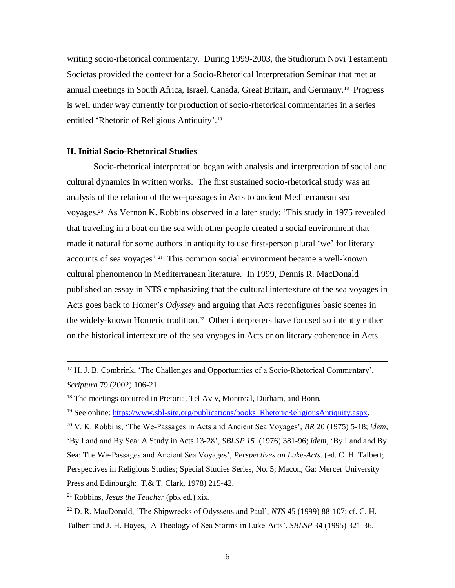writing socio-rhetorical commentary. During 1999-2003, the Studiorum Novi Testamenti Societas provided the context for a Socio-Rhetorical Interpretation Seminar that met at annual meetings in South Africa, Israel, Canada, Great Britain, and Germany.<sup>18</sup> Progress is well under way currently for production of socio-rhetorical commentaries in a series entitled 'Rhetoric of Religious Antiquity'.<sup>19</sup>

#### **II. Initial Socio-Rhetorical Studies**

Socio-rhetorical interpretation began with analysis and interpretation of social and cultural dynamics in written works. The first sustained socio-rhetorical study was an analysis of the relation of the we-passages in Acts to ancient Mediterranean sea voyages.<sup>20</sup> As Vernon K. Robbins observed in a later study: 'This study in 1975 revealed that traveling in a boat on the sea with other people created a social environment that made it natural for some authors in antiquity to use first-person plural 'we' for literary accounts of sea voyages'. 21 This common social environment became a well-known cultural phenomenon in Mediterranean literature. In 1999, Dennis R. MacDonald published an essay in NTS emphasizing that the cultural intertexture of the sea voyages in Acts goes back to Homer's *Odyssey* and arguing that Acts reconfigures basic scenes in the widely-known Homeric tradition.<sup>22</sup> Other interpreters have focused so intently either on the historical intertexture of the sea voyages in Acts or on literary coherence in Acts

<sup>20</sup> V. K. Robbins, 'The We-Passages in Acts and Ancient Sea Voyages', *BR* 20 (1975) 5-18; *idem,*  'By Land and By Sea: A Study in Acts 13-28', *SBLSP 15* (1976) 381-96; *idem*, 'By Land and By Sea: The We-Passages and Ancient Sea Voyages', *Perspectives on Luke-Acts*. (ed. C. H. Talbert; Perspectives in Religious Studies; Special Studies Series, No. 5; Macon, Ga: Mercer University Press and Edinburgh: T.& T. Clark, 1978) 215-42.

<sup>21</sup> Robbins, *Jesus the Teacher* (pbk ed.) xix.

 $\overline{a}$ 

<sup>22</sup> D. R. MacDonald, 'The Shipwrecks of Odysseus and Paul', *NTS* 45 (1999) 88-107; cf. C. H. Talbert and J. H. Hayes, 'A Theology of Sea Storms in Luke-Acts', *SBLSP* 34 (1995) 321-36.

<sup>17</sup> H. J. B. Combrink, 'The Challenges and Opportunities of a Socio-Rhetorical Commentary', *Scriptura* 79 (2002) 106-21.

<sup>&</sup>lt;sup>18</sup> The meetings occurred in Pretoria, Tel Aviv, Montreal, Durham, and Bonn.

<sup>&</sup>lt;sup>19</sup> See online: [https://www.sbl-site.org/publications/books\\_RhetoricReligiousAntiquity.aspx.](https://www.sbl-site.org/publications/books_RhetoricReligiousAntiquity.aspx)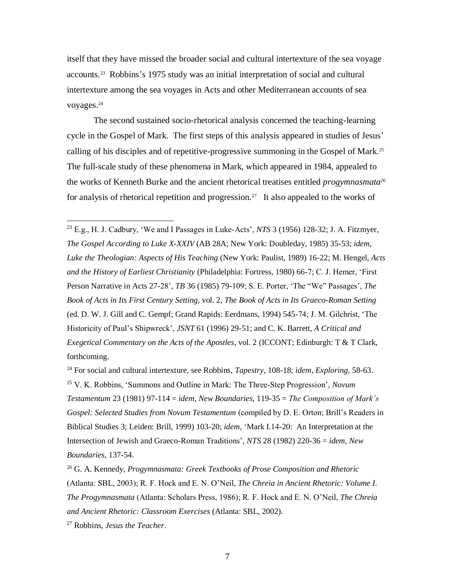itself that they have missed the broader social and cultural intertexture of the sea voyage accounts.<sup>23</sup> Robbins's 1975 study was an initial interpretation of social and cultural intertexture among the sea voyages in Acts and other Mediterranean accounts of sea voyages.<sup>24</sup>

The second sustained socio-rhetorical analysis concerned the teaching-learning cycle in the Gospel of Mark. The first steps of this analysis appeared in studies of Jesus' calling of his disciples and of repetitive-progressive summoning in the Gospel of Mark.<sup>25</sup> The full-scale study of these phenomena in Mark, which appeared in 1984, appealed to the works of Kenneth Burke and the ancient rhetorical treatises entitled *progymnasmata<sup>26</sup>* for analysis of rhetorical repetition and progression.<sup>27</sup> It also appealed to the works of

<sup>24</sup> For social and cultural intertexture, see Robbins, *Tapestry*, 108-18; *idem*, *Exploring,* 58-63. <sup>25</sup> V. K. Robbins, 'Summons and Outline in Mark: The Three-Step Progression', *Novum Testamentum* 23 (1981) 97-114 = *idem, New Boundaries*, 119-35 = *The Composition of Mark's Gospel: Selected Studies from Novum Testamentum* (compiled by D. E. Orton; Brill's Readers in Biblical Studies 3; Leiden: Brill, 1999) 103-20; *idem*, 'Mark I.14-20: An Interpretation at the Intersection of Jewish and Graeco-Roman Traditions', *NTS* 28 (1982) 220-36 = *idem, New Boundaries*, 137-54.

<sup>26</sup> G. A. Kennedy, *Progymnasmata: Greek Textbooks of Prose Composition and Rhetoric* (Atlanta: SBL, 2003); R. F. Hock and E. N. O'Neil, *The Chreia in Ancient Rhetoric: Volume I. The Progymnasmata* (Atlanta: Scholars Press, 1986); R. F. Hock and E. N. O'Neil, *The Chreia and Ancient Rhetoric: Classroom Exercises* (Atlanta: SBL, 2002).

<sup>27</sup> Robbins, *Jesus the Teacher*.

<sup>23</sup> E.g., H. J. Cadbury, 'We and I Passages in Luke-Acts', *NTS* 3 (1956) 128-32; J. A. Fitzmyer, *The Gospel According to Luke X-XXIV* (AB 28A; New York: Doubleday, 1985) 35-53; *idem, Luke the Theologian: Aspects of His Teaching* (New York: Paulist, 1989) 16-22; M. Hengel, *Acts and the History of Earliest Christianity* (Philadelphia: Fortress, 1980) 66-7; C. J. Hemer, 'First Person Narrative in Acts 27-28', *TB* 36 (1985) 79-109; S. E. Porter, 'The "We" Passages', *The Book of Acts in Its First Century Setting*, vol. 2, *The Book of Acts in Its Graeco-Roman Setting* (ed. D. W. J. Gill and C. Gempf; Grand Rapids: Eerdmans, 1994) 545-74; J. M. Gilchrist, 'The Historicity of Paul's Shipwreck', *JSNT* 61 (1996) 29-51; and C. K. Barrett*, A Critical and Exegetical Commentary on the Acts of the Apostles*, vol. 2 (ICCONT; Edinburgh: T & T Clark, forthcoming.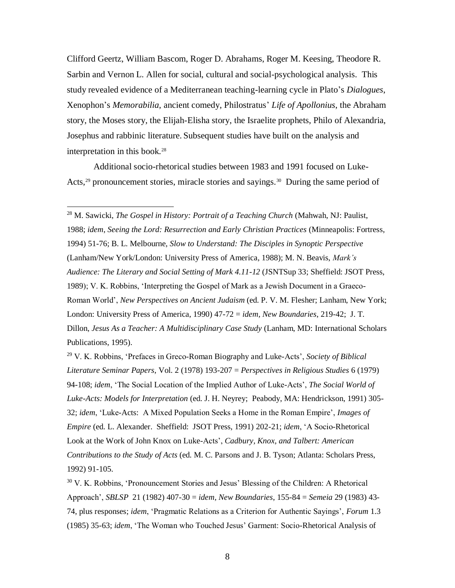Clifford Geertz, William Bascom, Roger D. Abrahams, Roger M. Keesing, Theodore R. Sarbin and Vernon L. Allen for social, cultural and social-psychological analysis. This study revealed evidence of a Mediterranean teaching-learning cycle in Plato's *Dialogues*, Xenophon's *Memorabilia*, ancient comedy, Philostratus' *Life of Apollonius*, the Abraham story, the Moses story, the Elijah-Elisha story, the Israelite prophets, Philo of Alexandria, Josephus and rabbinic literature. Subsequent studies have built on the analysis and interpretation in this book.<sup>28</sup>

Additional socio-rhetorical studies between 1983 and 1991 focused on Luke-Acts,<sup>29</sup> pronouncement stories, miracle stories and sayings.<sup>30</sup> During the same period of

 $\overline{a}$ 

<sup>29</sup> V. K. Robbins, 'Prefaces in Greco-Roman Biography and Luke-Acts', *Society of Biblical Literature Seminar Papers*, Vol. 2 (1978) 193-207 = *Perspectives in Religious Studies* 6 (1979) 94-108; *idem*, 'The Social Location of the Implied Author of Luke-Acts', *The Social World of Luke-Acts: Models for Interpretation* (ed. J. H. Neyrey; Peabody, MA: Hendrickson, 1991) 305- 32; *idem*, 'Luke-Acts: A Mixed Population Seeks a Home in the Roman Empire', *Images of Empire* (ed. L. Alexander. Sheffield: JSOT Press, 1991) 202-21; *idem*, 'A Socio-Rhetorical Look at the Work of John Knox on Luke-Acts', *Cadbury, Knox, and Talbert: American Contributions to the Study of Acts* (ed. M. C. Parsons and J. B. Tyson; Atlanta: Scholars Press, 1992) 91-105.

<sup>28</sup> M. Sawicki, *The Gospel in History: Portrait of a Teaching Church* (Mahwah, NJ: Paulist, 1988; *idem*, *Seeing the Lord: Resurrection and Early Christian Practices* (Minneapolis: Fortress, 1994) 51-76; B. L. Melbourne, *Slow to Understand: The Disciples in Synoptic Perspective* (Lanham/New York/London: University Press of America, 1988); M. N. Beavis, *Mark's Audience: The Literary and Social Setting of Mark 4.11-12* (JSNTSup 33; Sheffield: JSOT Press, 1989); V. K. Robbins, 'Interpreting the Gospel of Mark as a Jewish Document in a Graeco-Roman World', *New Perspectives on Ancient Judaism* (ed. P. V. M. Flesher; Lanham, New York; London: University Press of America, 1990) 47-72 = *idem, New Boundaries*, 219-42; J. T. Dillon, *Jesus As a Teacher: A Multidisciplinary Case Study* (Lanham, MD: International Scholars Publications, 1995).

<sup>30</sup> V. K. Robbins, 'Pronouncement Stories and Jesus' Blessing of the Children: A Rhetorical Approach', *SBLSP* 21 (1982) 407-30 = *idem, New Boundaries*, 155-84 = *Semeia* 29 (1983) 43- 74, plus responses; *idem*, 'Pragmatic Relations as a Criterion for Authentic Sayings', *Forum* 1.3 (1985) 35-63; *idem*, 'The Woman who Touched Jesus' Garment: Socio-Rhetorical Analysis of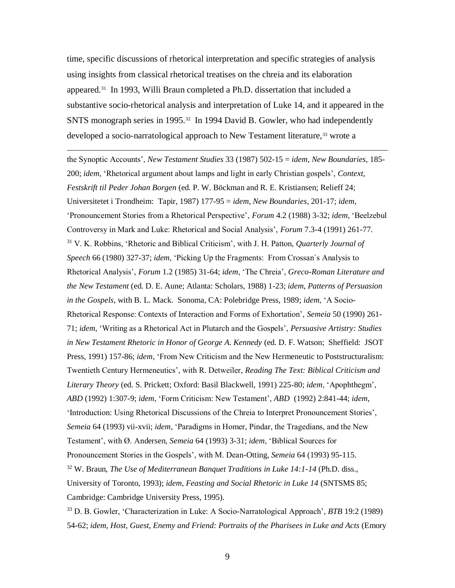time, specific discussions of rhetorical interpretation and specific strategies of analysis using insights from classical rhetorical treatises on the chreia and its elaboration appeared.<sup>31</sup> In 1993, Willi Braun completed a Ph.D. dissertation that included a substantive socio-rhetorical analysis and interpretation of Luke 14, and it appeared in the SNTS monograph series in 1995.<sup>32</sup> In 1994 David B. Gowler, who had independently developed a socio-narratological approach to New Testament literature,<sup>33</sup> wrote a

 $\overline{a}$ 

the Synoptic Accounts', *New Testament Studies* 33 (1987) 502-15 = *idem, New Boundaries*, 185- 200; *idem*, 'Rhetorical argument about lamps and light in early Christian gospels', *Context, Festskrift til Peder Johan Borgen* (ed. P. W. Böckman and R. E. Kristiansen; Relieff 24; Universitetet i Trondheim: Tapir, 1987) 177-95 = *idem, New Boundaries*, 201-17; *idem*, 'Pronouncement Stories from a Rhetorical Perspective', *Forum* 4.2 (1988) 3-32; *idem*, 'Beelzebul Controversy in Mark and Luke: Rhetorical and Social Analysis', *Forum* 7.3-4 (1991) 261-77. <sup>31</sup> V. K. Robbins, 'Rhetoric and Biblical Criticism', with J. H. Patton, *Quarterly Journal of Speech* 66 (1980) 327-37; *idem*, 'Picking Up the Fragments: From Crossan`s Analysis to Rhetorical Analysis', *Forum* 1.2 (1985) 31-64; *idem*, 'The Chreia', *Greco-Roman Literature and the New Testament* (ed. D. E. Aune; Atlanta: Scholars, 1988) 1-23; *idem*, *Patterns of Persuasion in the Gospels*, with B. L. Mack. Sonoma, CA: Polebridge Press, 1989; *idem*, 'A Socio-Rhetorical Response: Contexts of Interaction and Forms of Exhortation', *Semeia* 50 (1990) 261- 71; *idem*, 'Writing as a Rhetorical Act in Plutarch and the Gospels', *Persuasive Artistry: Studies in New Testament Rhetoric in Honor of George A. Kennedy* (ed. D. F. Watson; Sheffield: JSOT Press, 1991) 157-86; *idem*, 'From New Criticism and the New Hermeneutic to Poststructuralism: Twentieth Century Hermeneutics', with R. Detweiler, *Reading The Text: Biblical Criticism and Literary Theory* (ed. S. Prickett; Oxford: Basil Blackwell, 1991) 225-80; *idem*, 'Apophthegm', *ABD* (1992) 1:307-9; *idem*, 'Form Criticism: New Testament', *ABD* (1992) 2:841-44; *idem*, 'Introduction: Using Rhetorical Discussions of the Chreia to Interpret Pronouncement Stories', *Semeia* 64 (1993) vii-xvii; *idem*, 'Paradigms in Homer, Pindar, the Tragedians, and the New Testament', with Ø. Andersen, *Semeia* 64 (1993) 3-31; *idem*, 'Biblical Sources for Pronouncement Stories in the Gospels', with M. Dean-Otting, *Semeia* 64 (1993) 95-115. <sup>32</sup> W. Braun, *The Use of Mediterranean Banquet Traditions in Luke 14:1-14* (Ph.D. diss., University of Toronto, 1993); *idem, Feasting and Social Rhetoric in Luke 14* (SNTSMS 85; Cambridge: Cambridge University Press, 1995).

<sup>33</sup> D. B. Gowler, 'Characterization in Luke: A Socio-Narratological Approach', *BTB* 19:2 (1989) 54-62; *idem, Host, Guest, Enemy and Friend: Portraits of the Pharisees in Luke and Acts* (Emory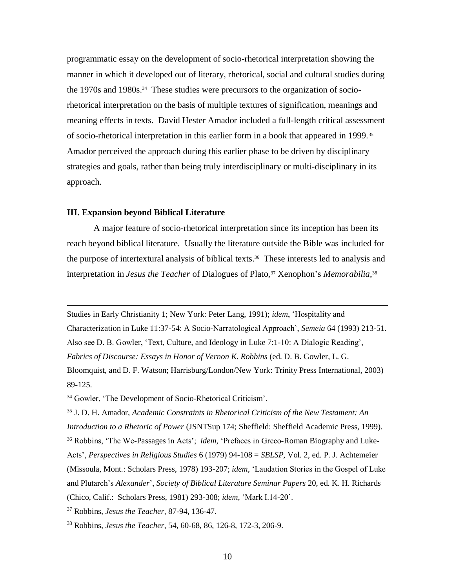programmatic essay on the development of socio-rhetorical interpretation showing the manner in which it developed out of literary, rhetorical, social and cultural studies during the 1970s and 1980s.<sup>34</sup> These studies were precursors to the organization of sociorhetorical interpretation on the basis of multiple textures of signification, meanings and meaning effects in texts. David Hester Amador included a full-length critical assessment of socio-rhetorical interpretation in this earlier form in a book that appeared in 1999.<sup>35</sup> Amador perceived the approach during this earlier phase to be driven by disciplinary strategies and goals, rather than being truly interdisciplinary or multi-disciplinary in its approach.

#### **III. Expansion beyond Biblical Literature**

 $\overline{a}$ 

A major feature of socio-rhetorical interpretation since its inception has been its reach beyond biblical literature. Usually the literature outside the Bible was included for the purpose of intertextural analysis of biblical texts. 36 These interests led to analysis and interpretation in *Jesus the Teacher* of Dialogues of Plato,<sup>37</sup> Xenophon's Memorabilia,<sup>38</sup>

Studies in Early Christianity 1; New York: Peter Lang, 1991); *idem*, 'Hospitality and Characterization in Luke 11:37-54: A Socio-Narratological Approach', *Semeia* 64 (1993) 213-51. Also see D. B. Gowler, 'Text, Culture, and Ideology in Luke 7:1-10: A Dialogic Reading', *Fabrics of Discourse: Essays in Honor of Vernon K. Robbins* (ed. D. B. Gowler, L. G. Bloomquist, and D. F. Watson; Harrisburg/London/New York: Trinity Press International, 2003) 89-125.

<sup>34</sup> Gowler, 'The Development of Socio-Rhetorical Criticism'.

<sup>35</sup> J. D. H. Amador, *Academic Constraints in Rhetorical Criticism of the New Testament: An Introduction to a Rhetoric of Power* (JSNTSup 174; Sheffield: Sheffield Academic Press, 1999). <sup>36</sup> Robbins, 'The We-Passages in Acts'; *idem,* 'Prefaces in Greco-Roman Biography and Luke-Acts', *Perspectives in Religious Studies* 6 (1979) 94-108 = *SBLSP,* Vol. 2, ed. P. J. Achtemeier (Missoula, Mont.: Scholars Press, 1978) 193-207; *idem,* 'Laudation Stories in the Gospel of Luke and Plutarch's *Alexander*', *Society of Biblical Literature Seminar Papers* 20, ed. K. H. Richards (Chico, Calif.: Scholars Press, 1981) 293-308; *idem,* 'Mark I.14-20'.

<sup>37</sup> Robbins, *Jesus the Teacher,* 87-94, 136-47.

<sup>38</sup> Robbins, *Jesus the Teacher,* 54, 60-68, 86, 126-8, 172-3, 206-9.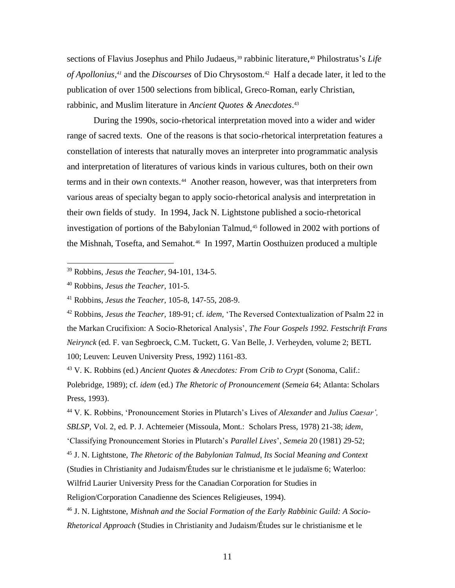sections of Flavius Josephus and Philo Judaeus,<sup>39</sup> rabbinic literature,<sup>40</sup> Philostratus's Life *of Apollonius, <sup>41</sup>* and the *Discourses* of Dio Chrysostom.<sup>42</sup> Half a decade later, it led to the publication of over 1500 selections from biblical, Greco-Roman, early Christian, rabbinic, and Muslim literature in *Ancient Quotes & Anecdotes*. 43

During the 1990s, socio-rhetorical interpretation moved into a wider and wider range of sacred texts. One of the reasons is that socio-rhetorical interpretation features a constellation of interests that naturally moves an interpreter into programmatic analysis and interpretation of literatures of various kinds in various cultures, both on their own terms and in their own contexts.<sup>44</sup> Another reason, however, was that interpreters from various areas of specialty began to apply socio-rhetorical analysis and interpretation in their own fields of study. In 1994, Jack N. Lightstone published a socio-rhetorical investigation of portions of the Babylonian Talmud,<sup>45</sup> followed in 2002 with portions of the Mishnah, Tosefta, and Semahot.<sup>46</sup> In 1997, Martin Oosthuizen produced a multiple

<sup>39</sup> Robbins, *Jesus the Teacher,* 94-101, 134-5.

<sup>40</sup> Robbins, *Jesus the Teacher,* 101-5.

<sup>41</sup> Robbins, *Jesus the Teacher,* 105-8, 147-55, 208-9.

<sup>42</sup> Robbins, *Jesus the Teacher,* 189-91; cf. *idem,* 'The Reversed Contextualization of Psalm 22 in the Markan Crucifixion: A Socio-Rhetorical Analysis', *The Four Gospels 1992. Festschrift Frans Neirynck* (ed. F. van Segbroeck, C.M. Tuckett, G. Van Belle, J. Verheyden, volume 2; BETL 100; Leuven: Leuven University Press, 1992) 1161-83.

<sup>43</sup> V. K. Robbins (ed.) *Ancient Quotes & Anecdotes: From Crib to Crypt* (Sonoma, Calif.: Polebridge, 1989); cf. *idem* (ed.) *The Rhetoric of Pronouncement* (*Semeia* 64; Atlanta: Scholars Press, 1993).

<sup>44</sup> V. K. Robbins, 'Pronouncement Stories in Plutarch's Lives of *Alexander* and *Julius Caesar', SBLSP*, Vol. 2, ed. P. J. Achtemeier (Missoula, Mont.: Scholars Press, 1978) 21-38; *idem,* 

<sup>&#</sup>x27;Classifying Pronouncement Stories in Plutarch's *Parallel Lives*', *Semeia* 20 (1981) 29-52;

<sup>45</sup> J. N. Lightstone, *The Rhetoric of the Babylonian Talmud, Its Social Meaning and Context*  (Studies in Christianity and Judaism/Études sur le christianisme et le judaïsme 6; Waterloo: Wilfrid Laurier University Press for the Canadian Corporation for Studies in

Religion/Corporation Canadienne des Sciences Religieuses, 1994).

<sup>46</sup> J. N. Lightstone, *Mishnah and the Social Formation of the Early Rabbinic Guild: A Socio-Rhetorical Approach* (Studies in Christianity and Judaism/Études sur le christianisme et le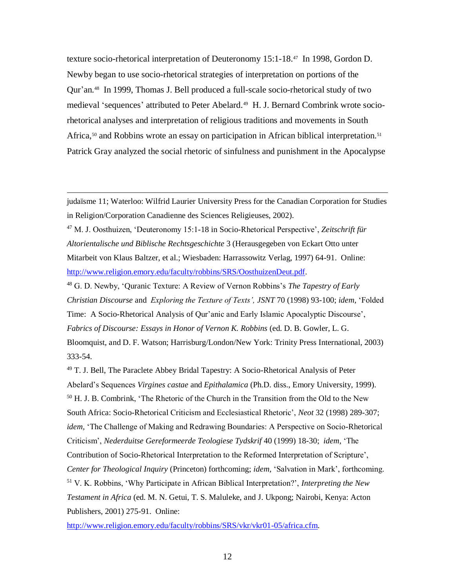texture socio-rhetorical interpretation of Deuteronomy 15:1-18.<sup>47</sup> In 1998, Gordon D. Newby began to use socio-rhetorical strategies of interpretation on portions of the Qur'an.<sup>48</sup> In 1999, Thomas J. Bell produced a full-scale socio-rhetorical study of two medieval 'sequences' attributed to Peter Abelard.<sup>49</sup> H. J. Bernard Combrink wrote sociorhetorical analyses and interpretation of religious traditions and movements in South Africa,<sup>50</sup> and Robbins wrote an essay on participation in African biblical interpretation.<sup>51</sup> Patrick Gray analyzed the social rhetoric of sinfulness and punishment in the Apocalypse

judaïsme 11; Waterloo: Wilfrid Laurier University Press for the Canadian Corporation for Studies in Religion/Corporation Canadienne des Sciences Religieuses, 2002).

<sup>47</sup> M. J. Oosthuizen, 'Deuteronomy 15:1-18 in Socio-Rhetorical Perspective', *Zeitschrift für Altorientalische und Biblische Rechtsgeschichte* 3 (Herausgegeben von Eckart Otto unter Mitarbeit von Klaus Baltzer, et al.; Wiesbaden: Harrassowitz Verlag, 1997) 64-91. Online: [http://www.religion.emory.edu/faculty/robbins/SRS/OosthuizenDeut.pdf.](http://www.religion.emory.edu/faculty/robbins/SRS/OosthuizenDeut.pdf)

<sup>48</sup> G. D. Newby, 'Quranic Texture: A Review of Vernon Robbins's *The Tapestry of Early Christian Discourse* and *Exploring the Texture of Texts', JSNT* 70 (1998) 93-100; *idem,* 'Folded Time: A Socio-Rhetorical Analysis of Qur'anic and Early Islamic Apocalyptic Discourse', *Fabrics of Discourse: Essays in Honor of Vernon K. Robbins* (ed. D. B. Gowler, L. G. Bloomquist, and D. F. Watson; Harrisburg/London/New York: Trinity Press International, 2003) 333-54.

<sup>49</sup> T. J. Bell, The Paraclete Abbey Bridal Tapestry: A Socio-Rhetorical Analysis of Peter Abelard's Sequences *Virgines castae* and *Epithalamica* (Ph.D. diss., Emory University, 1999). <sup>50</sup> H. J. B. Combrink, 'The Rhetoric of the Church in the Transition from the Old to the New South Africa: Socio-Rhetorical Criticism and Ecclesiastical Rhetoric', *Neot* 32 (1998) 289-307; *idem,* 'The Challenge of Making and Redrawing Boundaries: A Perspective on Socio-Rhetorical Criticism', *Nederduitse Gereformeerde Teologiese Tydskrif* 40 (1999) 18-30; *idem,* 'The Contribution of Socio-Rhetorical Interpretation to the Reformed Interpretation of Scripture', *Center for Theological Inquiry* (Princeton) forthcoming; *idem,* 'Salvation in Mark', forthcoming. <sup>51</sup> V. K. Robbins, 'Why Participate in African Biblical Interpretation?', *Interpreting the New Testament in Africa* (ed. M. N. Getui, T. S. Maluleke, and J. Ukpong; Nairobi, Kenya: Acton Publishers, 2001) 275-91. Online:

[http://www.religion.emory.edu/faculty/robbins/SRS/vkr/vkr01-05/africa.cfm.](http://www.religion.emory.edu/faculty/robbins/SRS/vkr/vkr01-05/africa.cfm)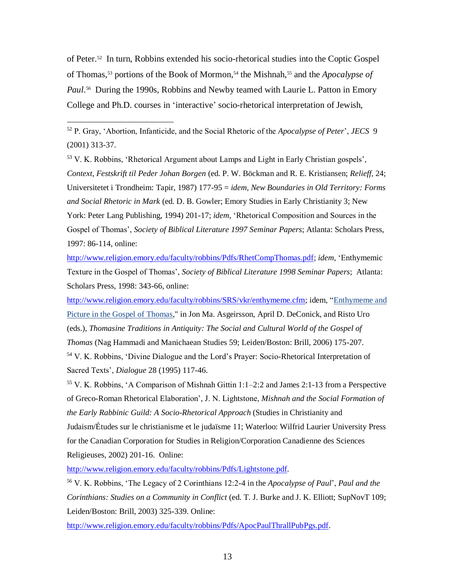of Peter.<sup>52</sup> In turn, Robbins extended his socio-rhetorical studies into the Coptic Gospel of Thomas, <sup>53</sup> portions of the Book of Mormon, <sup>54</sup> the Mishnah, <sup>55</sup> and the *Apocalypse of*  Paul.<sup>56</sup> During the 1990s, Robbins and Newby teamed with Laurie L. Patton in Emory College and Ph.D. courses in 'interactive' socio-rhetorical interpretation of Jewish,

 $\overline{a}$ 

<sup>53</sup> V. K. Robbins, 'Rhetorical Argument about Lamps and Light in Early Christian gospels', *Context, Festskrift til Peder Johan Borgen* (ed. P. W. Böckman and R. E. Kristiansen; *Relieff*, 24; Universitetet i Trondheim: Tapir, 1987) 177-95 = *idem, New Boundaries in Old Territory: Forms and Social Rhetoric in Mark* (ed. D. B. Gowler; Emory Studies in Early Christianity 3; New York: Peter Lang Publishing, 1994) 201-17; *idem,* 'Rhetorical Composition and Sources in the Gospel of Thomas', *Society of Biblical Literature 1997 Seminar Papers*; Atlanta: Scholars Press, 1997: 86-114, online:

[http://www.religion.emory.edu/faculty/robbins/Pdfs/RhetCompThomas.pdf;](http://www.religion.emory.edu/faculty/robbins/Pdfs/RhetCompThomas.pdf) *idem,* 'Enthymemic Texture in the Gospel of Thomas', *Society of Biblical Literature 1998 Seminar Papers*; Atlanta: Scholars Press, 1998: 343-66, online:

[http://www.religion.emory.edu/faculty/robbins/SRS/vkr/enthymeme.cfm;](http://www.religion.emory.edu/faculty/robbins/SRS/vkr/enthymeme.cfm) idem, ["Enthymeme and](http://www.religion.emory.edu/faculty/robbins/Pdfs/ThomasPicEnth.pdf)  [Picture in the Gospel of Thomas,](http://www.religion.emory.edu/faculty/robbins/Pdfs/ThomasPicEnth.pdf)" in Jon Ma. Asgeirsson, April D. DeConick, and Risto Uro (eds.), *Thomasine Traditions in Antiquity: The Social and Cultural World of the Gospel of Thomas* (Nag Hammadi and Manichaean Studies 59; Leiden/Boston: Brill, 2006) 175-207. <sup>54</sup> V. K. Robbins, 'Divine Dialogue and the Lord's Prayer: Socio-Rhetorical Interpretation of Sacred Texts', *Dialogue* 28 (1995) 117-46.

<sup>55</sup> V. K. Robbins, 'A Comparison of Mishnah Gittin 1:1–2:2 and James 2:1-13 from a Perspective of Greco-Roman Rhetorical Elaboration', J. N. Lightstone, *Mishnah and the Social Formation of the Early Rabbinic Guild: A Socio-Rhetorical Approach* (Studies in Christianity and Judaism/Études sur le christianisme et le judaïsme 11; Waterloo: Wilfrid Laurier University Press for the Canadian Corporation for Studies in Religion/Corporation Canadienne des Sciences Religieuses, 2002) 201-16. Online:

[http://www.religion.emory.edu/faculty/robbins/Pdfs/Lightstone.pdf.](http://www.religion.emory.edu/faculty/robbins/Pdfs/Lightstone.pdf)

<sup>56</sup> V. K. Robbins, 'The Legacy of 2 Corinthians 12:2-4 in the *Apocalypse of Paul*', *Paul and the Corinthians: Studies on a Community in Conflict* (ed. T. J. Burke and J. K. Elliott; SupNovT 109; Leiden/Boston: Brill, 2003) 325-339. Online:

[http://www.religion.emory.edu/faculty/robbins/Pdfs/ApocPaulThrallPubPgs.pdf.](http://www.religion.emory.edu/faculty/robbins/Pdfs/ApocPaulThrallPubPgs.pdf)

<sup>52</sup> P. Gray, 'Abortion, Infanticide, and the Social Rhetoric of the *Apocalypse of Peter*', *JECS* 9 (2001) 313-37.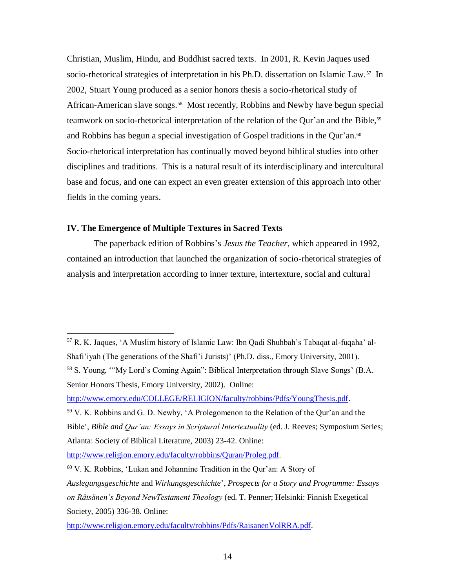Christian, Muslim, Hindu, and Buddhist sacred texts. In 2001, R. Kevin Jaques used socio-rhetorical strategies of interpretation in his Ph.D. dissertation on Islamic Law.<sup>57</sup> In 2002, Stuart Young produced as a senior honors thesis a socio-rhetorical study of African-American slave songs.<sup>58</sup> Most recently, Robbins and Newby have begun special teamwork on socio-rhetorical interpretation of the relation of the Qur'an and the Bible,<sup>59</sup> and Robbins has begun a special investigation of Gospel traditions in the Qur'an.<sup>60</sup> Socio-rhetorical interpretation has continually moved beyond biblical studies into other disciplines and traditions. This is a natural result of its interdisciplinary and intercultural base and focus, and one can expect an even greater extension of this approach into other fields in the coming years.

### **IV. The Emergence of Multiple Textures in Sacred Texts**

 $\overline{a}$ 

The paperback edition of Robbins's *Jesus the Teacher*, which appeared in 1992, contained an introduction that launched the organization of socio-rhetorical strategies of analysis and interpretation according to inner texture, intertexture, social and cultural

<sup>57</sup> R. K. Jaques, 'A Muslim history of Islamic Law: Ibn Qadi Shuhbah's Tabaqat al-fuqaha' al-Shafi'iyah (The generations of the Shafi'i Jurists)' (Ph.D. diss., Emory University, 2001). <sup>58</sup> S. Young, '"My Lord's Coming Again": Biblical Interpretation through Slave Songs' (B.A. Senior Honors Thesis, Emory University, 2002). Online:

[http://www.emory.edu/COLLEGE/RELIGION/faculty/robbins/Pdfs/YoungThesis.pdf.](http://www.emory.edu/COLLEGE/RELIGION/faculty/robbins/Pdfs/YoungThesis.pdf)

<sup>59</sup> V. K. Robbins and G. D. Newby, 'A Prolegomenon to the Relation of the Qur'an and the Bible', *Bible and Qur'an: Essays in Scriptural Intertextuality* (ed. J. Reeves; Symposium Series; Atlanta: Society of Biblical Literature, 2003) 23-42. Online:

[http://www.religion.emory.edu/faculty/robbins/Quran/Proleg.pdf.](http://www.religion.emory.edu/faculty/robbins/Quran/Proleg.pdf)

<sup>60</sup> V. K. Robbins, 'Lukan and Johannine Tradition in the Qur'an: A Story of *Auslegungsgeschichte* and *Wirkungsgeschichte*', *Prospects for a Story and Programme: Essays on Räisänen's Beyond NewTestament Theology* (ed. T. Penner; Helsinki: Finnish Exegetical Society, 2005) 336-38. Online:

[http://www.religion.emory.edu/faculty/robbins/Pdfs/RaisanenVolRRA.pdf.](http://www.religion.emory.edu/faculty/robbins/Pdfs/RaisanenVolRRA.pdf)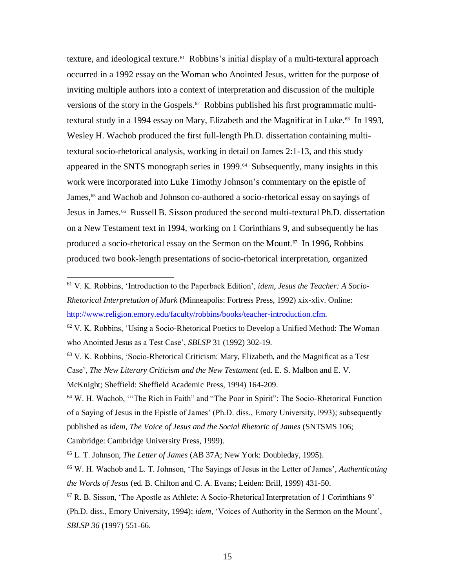texture, and ideological texture.<sup>61</sup> Robbins's initial display of a multi-textural approach occurred in a 1992 essay on the Woman who Anointed Jesus, written for the purpose of inviting multiple authors into a context of interpretation and discussion of the multiple versions of the story in the Gospels.<sup>62</sup> Robbins published his first programmatic multitextural study in a 1994 essay on Mary, Elizabeth and the Magnificat in Luke.<sup>63</sup> In 1993, Wesley H. Wachob produced the first full-length Ph.D. dissertation containing multitextural socio-rhetorical analysis, working in detail on James 2:1-13, and this study appeared in the SNTS monograph series in 1999.<sup>64</sup> Subsequently, many insights in this work were incorporated into Luke Timothy Johnson's commentary on the epistle of James,<sup>65</sup> and Wachob and Johnson co-authored a socio-rhetorical essay on sayings of Jesus in James.<sup>66</sup> Russell B. Sisson produced the second multi-textural Ph.D. dissertation on a New Testament text in 1994, working on 1 Corinthians 9, and subsequently he has produced a socio-rhetorical essay on the Sermon on the Mount.<sup>67</sup> In 1996, Robbins produced two book-length presentations of socio-rhetorical interpretation, organized

<sup>61</sup> V. K. Robbins, 'Introduction to the Paperback Edition', *idem*, *Jesus the Teacher: A Socio-Rhetorical Interpretation of Mark* (Minneapolis: Fortress Press, 1992) xix-xliv. Online: [http://www.religion.emory.edu/faculty/robbins/books/teacher-introduction.cfm.](http://www.religion.emory.edu/faculty/robbins/books/teacher-introduction.cfm)

<sup>62</sup> V. K. Robbins, 'Using a Socio-Rhetorical Poetics to Develop a Unified Method: The Woman who Anointed Jesus as a Test Case', *SBLSP* 31 (1992) 302-19.

<sup>63</sup> V. K. Robbins, 'Socio-Rhetorical Criticism: Mary, Elizabeth, and the Magnificat as a Test Case', *The New Literary Criticism and the New Testament* (ed. E. S. Malbon and E. V. McKnight; Sheffield: Sheffield Academic Press, 1994) 164-209.

<sup>64</sup> W. H. Wachob, '"The Rich in Faith" and "The Poor in Spirit": The Socio-Rhetorical Function of a Saying of Jesus in the Epistle of James' (Ph.D. diss., Emory University, l993); subsequently published as *idem*, *The Voice of Jesus and the Social Rhetoric of James* (SNTSMS 106; Cambridge: Cambridge University Press, 1999).

<sup>65</sup> L. T. Johnson, *The Letter of James* (AB 37A; New York: Doubleday, 1995).

<sup>66</sup> W. H. Wachob and L. T. Johnson, 'The Sayings of Jesus in the Letter of James', *Authenticating the Words of Jesus* (ed. B. Chilton and C. A. Evans; Leiden: Brill, 1999) 431-50.

 $67$  R. B. Sisson, 'The Apostle as Athlete: A Socio-Rhetorical Interpretation of 1 Corinthians 9' (Ph.D. diss., Emory University, 1994); *idem,* 'Voices of Authority in the Sermon on the Mount', *SBLSP 36* (1997) 551-66.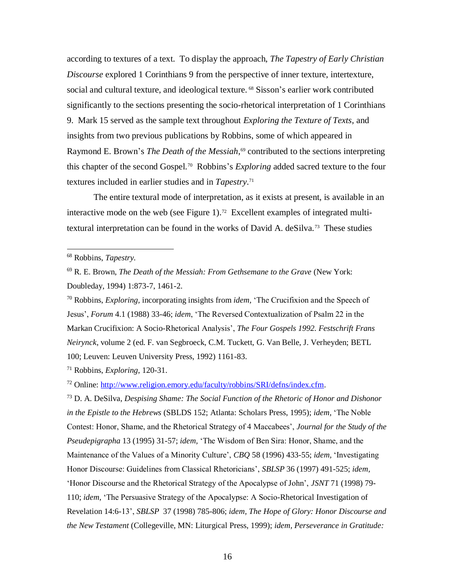according to textures of a text. To display the approach, *The Tapestry of Early Christian Discourse* explored 1 Corinthians 9 from the perspective of inner texture, intertexture, social and cultural texture, and ideological texture. <sup>68</sup> Sisson's earlier work contributed significantly to the sections presenting the socio-rhetorical interpretation of 1 Corinthians 9. Mark 15 served as the sample text throughout *Exploring the Texture of Texts*, and insights from two previous publications by Robbins, some of which appeared in Raymond E. Brown's *The Death of the Messiah*,<sup>69</sup> contributed to the sections interpreting this chapter of the second Gospel.<sup>70</sup> Robbins's *Exploring* added sacred texture to the four textures included in earlier studies and in *Tapestry*. 71

The entire textural mode of interpretation, as it exists at present, is available in an interactive mode on the web (see Figure 1).<sup>72</sup> Excellent examples of integrated multitextural interpretation can be found in the works of David A. deSilva.<sup>73</sup> These studies

 $\overline{a}$ 

<sup>71</sup> Robbins, *Exploring*, 120-31.

<sup>72</sup> Online: [http://www.religion.emory.edu/faculty/robbins/SRI/defns/index.cfm.](http://www.religion.emory.edu/faculty/robbins/SRI/defns/index.cfm)

<sup>73</sup> D. A. DeSilva, *Despising Shame: The Social Function of the Rhetoric of Honor and Dishonor in the Epistle to the Hebrews* (SBLDS 152; Atlanta: Scholars Press, 1995); *idem,* 'The Noble Contest: Honor, Shame, and the Rhetorical Strategy of 4 Maccabees', *Journal for the Study of the Pseudepigrapha* 13 (1995) 31-57; *idem,* 'The Wisdom of Ben Sira: Honor, Shame, and the Maintenance of the Values of a Minority Culture', *CBQ* 58 (1996) 433-55; *idem,* 'Investigating Honor Discourse: Guidelines from Classical Rhetoricians', *SBLSP* 36 (1997) 491-525; *idem,*  'Honor Discourse and the Rhetorical Strategy of the Apocalypse of John', *JSNT* 71 (1998) 79- 110; *idem,* 'The Persuasive Strategy of the Apocalypse: A Socio-Rhetorical Investigation of Revelation 14:6-13', *SBLSP* 37 (1998) 785-806; *idem, The Hope of Glory: Honor Discourse and the New Testament* (Collegeville, MN: Liturgical Press, 1999); *idem, Perseverance in Gratitude:* 

<sup>68</sup> Robbins, *Tapestry.*

<sup>69</sup> R. E. Brown, *The Death of the Messiah: From Gethsemane to the Grave* (New York: Doubleday, 1994) 1:873-7, 1461-2.

<sup>70</sup> Robbins, *Exploring,* incorporating insights from *idem,* 'The Crucifixion and the Speech of Jesus', *Forum* 4.1 (1988) 33-46; *idem*, 'The Reversed Contextualization of Psalm 22 in the Markan Crucifixion: A Socio-Rhetorical Analysis', *The Four Gospels 1992. Festschrift Frans Neirynck*, volume 2 (ed. F. van Segbroeck, C.M. Tuckett, G. Van Belle, J. Verheyden; BETL 100; Leuven: Leuven University Press, 1992) 1161-83.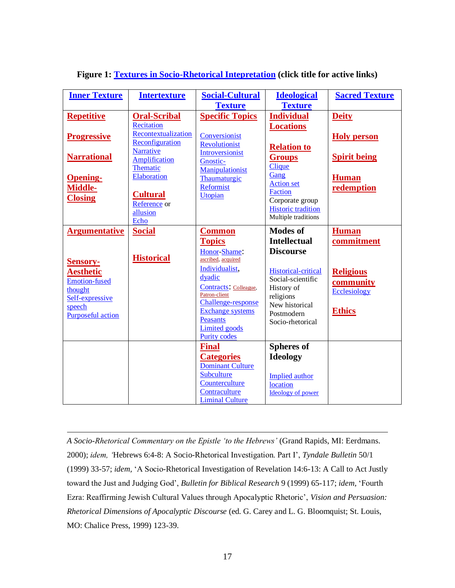| <b>Inner Texture</b>                                  | <b>Intertexture</b>                                                | <b>Social-Cultural</b>                                                                                          | <b>Ideological</b>                                                                                                 | <b>Sacred Texture</b>                         |
|-------------------------------------------------------|--------------------------------------------------------------------|-----------------------------------------------------------------------------------------------------------------|--------------------------------------------------------------------------------------------------------------------|-----------------------------------------------|
|                                                       |                                                                    | <b>Texture</b>                                                                                                  | <b>Texture</b>                                                                                                     |                                               |
| <b>Repetitive</b>                                     | <b>Oral-Scribal</b><br><b>Recitation</b>                           | <b>Specific Topics</b>                                                                                          | <b>Individual</b><br><b>Locations</b>                                                                              | <b>Deity</b>                                  |
| <b>Progressive</b>                                    | Recontextualization<br>Reconfiguration                             | Conversionist<br><b>Revolutionist</b>                                                                           | <b>Relation to</b>                                                                                                 | <b>Holy person</b>                            |
| <b>Narrational</b>                                    | <b>Narrative</b><br><b>Amplification</b><br>Thematic               | Introversionist<br>Gnostic-                                                                                     | <b>Groups</b><br>Clique                                                                                            | <b>Spirit being</b>                           |
| <b>Opening-</b><br>Middle-<br><b>Closing</b>          | Elaboration<br><b>Cultural</b><br>Reference or<br>allusion<br>Echo | Manipulationist<br>Thaumaturgic<br><b>Reformist</b><br>Utopian                                                  | Gang<br><b>Action set</b><br><b>Faction</b><br>Corporate group<br><b>Historic</b> tradition<br>Multiple traditions | <b>Human</b><br>redemption                    |
| <b>Argumentative</b>                                  | <b>Social</b>                                                      | <b>Common</b>                                                                                                   | <b>Modes of</b>                                                                                                    | <b>Human</b>                                  |
| <u>Sensory-</u>                                       | <b>Historical</b>                                                  | <b>Topics</b><br><b>Honor Shame:</b><br>ascribed, acquired                                                      | <b>Intellectual</b><br><b>Discourse</b>                                                                            | commitment                                    |
| <b>Aesthetic</b><br><b>Emotion-fused</b><br>thought   |                                                                    | Individualist,<br>dvadic<br>Contracts: Colleague,<br>Patron-client                                              | Historical-critical<br>Social-scientific<br>History of<br>religions                                                | <b>Religious</b><br>community<br>Ecclesiology |
| Self-expressive<br>speech<br><b>Purposeful action</b> |                                                                    | Challenge-response<br><b>Exchange systems</b><br><b>Peasants</b><br><b>Limited</b> goods<br><b>Purity codes</b> | New historical<br>Postmodern<br>Socio-rhetorical                                                                   | <b>Ethics</b>                                 |
|                                                       |                                                                    | <b>Final</b>                                                                                                    | <b>Spheres of</b>                                                                                                  |                                               |
|                                                       |                                                                    | <b>Categories</b><br><b>Dominant Culture</b>                                                                    | <b>Ideology</b>                                                                                                    |                                               |
|                                                       |                                                                    | Subculture<br>Counterculture<br>Contraculture<br><b>Liminal Culture</b>                                         | <b>Implied author</b><br>location<br>Ideology of power                                                             |                                               |

**Figure 1: [Textures in Socio-Rhetorical Intepretation](http://www.religion.emory.edu/faculty/robbins/SRI/defns/index.cfm) (click title for active links)**

 $\overline{a}$ *A Socio-Rhetorical Commentary on the Epistle 'to the Hebrews'* (Grand Rapids, MI: Eerdmans. 2000); *idem, '*Hebrews 6:4-8: A Socio-Rhetorical Investigation. Part I', *Tyndale Bulletin* 50/1 (1999) 33-57; *idem,* 'A Socio-Rhetorical Investigation of Revelation 14:6-13: A Call to Act Justly toward the Just and Judging God', *Bulletin for Biblical Research* 9 (1999) 65-117; *idem,* 'Fourth Ezra: Reaffirming Jewish Cultural Values through Apocalyptic Rhetoric', *Vision and Persuasion: Rhetorical Dimensions of Apocalyptic Discourse* (ed. G. Carey and L. G. Bloomquist; St. Louis, MO: Chalice Press, 1999) 123-39.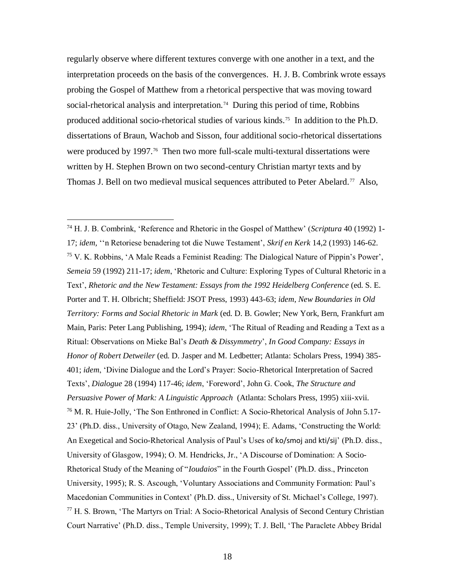regularly observe where different textures converge with one another in a text, and the interpretation proceeds on the basis of the convergences. H. J. B. Combrink wrote essays probing the Gospel of Matthew from a rhetorical perspective that was moving toward social-rhetorical analysis and interpretation.<sup>74</sup> During this period of time, Robbins produced additional socio-rhetorical studies of various kinds.<sup>75</sup> In addition to the Ph.D. dissertations of Braun, Wachob and Sisson, four additional socio-rhetorical dissertations were produced by 1997.<sup>76</sup> Then two more full-scale multi-textural dissertations were written by H. Stephen Brown on two second-century Christian martyr texts and by Thomas J. Bell on two medieval musical sequences attributed to Peter Abelard.<sup>77</sup> Also,

<sup>74</sup> H. J. B. Combrink, 'Reference and Rhetoric in the Gospel of Matthew' (*Scriptura* 40 (1992) 1- 17; *idem,* ''n Retoriese benadering tot die Nuwe Testament', *Skrif en Kerk* 14,2 (1993) 146-62. <sup>75</sup> V. K. Robbins, 'A Male Reads a Feminist Reading: The Dialogical Nature of Pippin's Power', *Semeia* 59 (1992) 211-17; *idem*, 'Rhetoric and Culture: Exploring Types of Cultural Rhetoric in a Text', *Rhetoric and the New Testament: Essays from the 1992 Heidelberg Conference* (ed. S. E. Porter and T. H. Olbricht; Sheffield: JSOT Press, 1993) 443-63; *idem*, *New Boundaries in Old Territory: Forms and Social Rhetoric in Mark* (ed. D. B. Gowler; New York, Bern, Frankfurt am Main, Paris: Peter Lang Publishing, 1994); *idem*, 'The Ritual of Reading and Reading a Text as a Ritual: Observations on Mieke Bal's *Death & Dissymmetry*', *In Good Company: Essays in Honor of Robert Detweiler* (ed. D. Jasper and M. Ledbetter; Atlanta: Scholars Press, 1994) 385- 401; *idem*, 'Divine Dialogue and the Lord's Prayer: Socio-Rhetorical Interpretation of Sacred Texts', *Dialogue* 28 (1994) 117-46; *idem*, 'Foreword', John G. Cook, *The Structure and Persuasive Power of Mark: A Linguistic Approach* (Atlanta: Scholars Press, 1995) xiii-xvii. <sup>76</sup> M. R. Huie-Jolly, 'The Son Enthroned in Conflict: A Socio-Rhetorical Analysis of John 5.17- 23' (Ph.D. diss., University of Otago, New Zealand, 1994); E. Adams, 'Constructing the World: An Exegetical and Socio-Rhetorical Analysis of Paul's Uses of ko/smoj and kti/sij' (Ph.D. diss., University of Glasgow, 1994); O. M. Hendricks, Jr., 'A Discourse of Domination: A Socio-Rhetorical Study of the Meaning of "*Ioudaios*" in the Fourth Gospel' (Ph.D. diss., Princeton University, 1995); R. S. Ascough, 'Voluntary Associations and Community Formation: Paul's Macedonian Communities in Context' (Ph.D. diss., University of St. Michael's College, 1997). <sup>77</sup> H. S. Brown, 'The Martyrs on Trial: A Socio-Rhetorical Analysis of Second Century Christian Court Narrative' (Ph.D. diss., Temple University, 1999); T. J. Bell, 'The Paraclete Abbey Bridal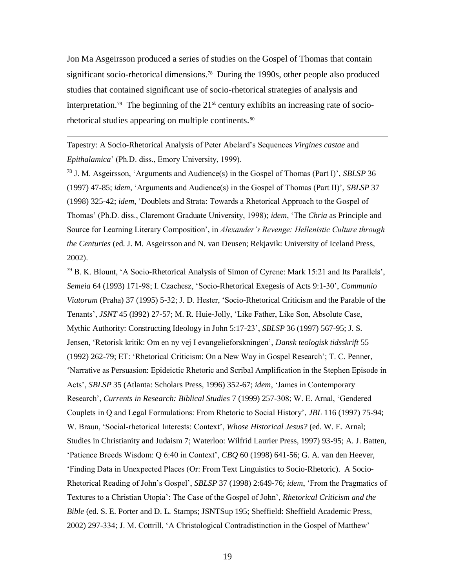Jon Ma Asgeirsson produced a series of studies on the Gospel of Thomas that contain significant socio-rhetorical dimensions.<sup>78</sup> During the 1990s, other people also produced studies that contained significant use of socio-rhetorical strategies of analysis and interpretation.<sup>79</sup> The beginning of the  $21<sup>st</sup>$  century exhibits an increasing rate of sociorhetorical studies appearing on multiple continents.<sup>80</sup>

Tapestry: A Socio-Rhetorical Analysis of Peter Abelard's Sequences *Virgines castae* and *Epithalamica*' (Ph.D. diss., Emory University, 1999).

 $\overline{a}$ 

<sup>78</sup> J. M. Asgeirsson, 'Arguments and Audience(s) in the Gospel of Thomas (Part I)', *SBLSP* 36 (1997) 47-85; *idem*, 'Arguments and Audience(s) in the Gospel of Thomas (Part II)', *SBLSP* 37 (1998) 325-42; *idem*, 'Doublets and Strata: Towards a Rhetorical Approach to the Gospel of Thomas' (Ph.D. diss., Claremont Graduate University, 1998); *idem*, 'The *Chria* as Principle and Source for Learning Literary Composition', in *Alexander's Revenge: Hellenistic Culture through the Centuries* (ed. J. M. Asgeirsson and N. van Deusen; Rekjavik: University of Iceland Press, 2002).

<sup>79</sup> B. K. Blount, 'A Socio-Rhetorical Analysis of Simon of Cyrene: Mark 15:21 and Its Parallels', *Semeia* 64 (1993) 171-98; I. Czachesz, 'Socio-Rhetorical Exegesis of Acts 9:1-30', *Communio Viatorum* (Praha) 37 (1995) 5-32; J. D. Hester, 'Socio-Rhetorical Criticism and the Parable of the Tenants', *JSNT* 45 (l992) 27-57; M. R. Huie-Jolly, 'Like Father, Like Son, Absolute Case, Mythic Authority: Constructing Ideology in John 5:17-23', *SBLSP* 36 (1997) 567-95; J. S. Jensen, 'Retorisk kritik: Om en ny vej I evangelieforskningen', *Dansk teologisk tidsskrift* 55 (1992) 262-79; ET: 'Rhetorical Criticism: On a New Way in Gospel Research'; T. C. Penner, 'Narrative as Persuasion: Epideictic Rhetoric and Scribal Amplification in the Stephen Episode in Acts', *SBLSP* 35 (Atlanta: Scholars Press, 1996) 352-67; *idem*, 'James in Contemporary Research', *Currents in Research: Biblical Studies* 7 (1999) 257-308; W. E. Arnal, 'Gendered Couplets in Q and Legal Formulations: From Rhetoric to Social History', *JBL* 116 (1997) 75-94; W. Braun, 'Social-rhetorical Interests: Context', *Whose Historical Jesus?* (ed. W. E. Arnal; Studies in Christianity and Judaism 7; Waterloo: Wilfrid Laurier Press, 1997) 93-95; A. J. Batten, 'Patience Breeds Wisdom: Q 6:40 in Context', *CBQ* 60 (1998) 641-56; G. A. van den Heever, 'Finding Data in Unexpected Places (Or: From Text Linguistics to Socio-Rhetoric). A Socio-Rhetorical Reading of John's Gospel', *SBLSP* 37 (1998) 2:649-76; *idem*, 'From the Pragmatics of Textures to a Christian Utopia': The Case of the Gospel of John', *Rhetorical Criticism and the Bible* (ed. S. E. Porter and D. L. Stamps; JSNTSup 195; Sheffield: Sheffield Academic Press, 2002) 297-334; J. M. Cottrill, 'A Christological Contradistinction in the Gospel of Matthew'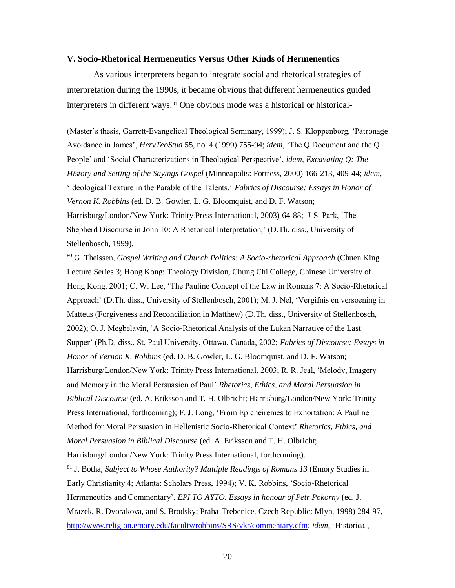#### **V. Socio-Rhetorical Hermeneutics Versus Other Kinds of Hermeneutics**

 $\overline{a}$ 

As various interpreters began to integrate social and rhetorical strategies of interpretation during the 1990s, it became obvious that different hermeneutics guided interpreters in different ways.<sup>81</sup> One obvious mode was a historical or historical-

(Master's thesis, Garrett-Evangelical Theological Seminary, 1999); J. S. Kloppenborg, 'Patronage Avoidance in James', *HervTeoStud* 55, no. 4 (1999) 755-94; *idem*, 'The Q Document and the Q People' and 'Social Characterizations in Theological Perspective', *idem, Excavating Q: The History and Setting of the Sayings Gospel* (Minneapolis: Fortress, 2000) 166-213, 409-44; *idem,* 'Ideological Texture in the Parable of the Talents,' *Fabrics of Discourse: Essays in Honor of Vernon K. Robbins* (ed. D. B. Gowler, L. G. Bloomquist, and D. F. Watson; Harrisburg/London/New York: Trinity Press International, 2003) 64-88; J-S. Park, 'The Shepherd Discourse in John 10: A Rhetorical Interpretation,' (D.Th. diss., University of Stellenbosch, 1999).

<sup>80</sup> G. Theissen, *Gospel Writing and Church Politics: A Socio-rhetorical Approach* (Chuen King Lecture Series 3; Hong Kong: Theology Division, Chung Chi College, Chinese University of Hong Kong, 2001; C. W. Lee, 'The Pauline Concept of the Law in Romans 7: A Socio-Rhetorical Approach' (D.Th. diss., University of Stellenbosch, 2001); M. J. Nel, 'Vergifnis en versoening in Matteus (Forgiveness and Reconciliation in Matthew) (D.Th. diss., University of Stellenbosch, 2002); O. J. Megbelayin, 'A Socio-Rhetorical Analysis of the Lukan Narrative of the Last Supper' (Ph.D. diss., St. Paul University, Ottawa, Canada, 2002; *Fabrics of Discourse: Essays in Honor of Vernon K. Robbins* (ed. D. B. Gowler, L. G. Bloomquist, and D. F. Watson; Harrisburg/London/New York: Trinity Press International, 2003; R. R. Jeal, 'Melody, Imagery and Memory in the Moral Persuasion of Paul' *Rhetorics, Ethics, and Moral Persuasion in Biblical Discourse* (ed. A. Eriksson and T. H. Olbricht; Harrisburg/London/New York: Trinity Press International, forthcoming); F. J. Long, 'From Epicheiremes to Exhortation: A Pauline Method for Moral Persuasion in Hellenistic Socio-Rhetorical Context' *Rhetorics, Ethics, and Moral Persuasion in Biblical Discourse* (ed. A. Eriksson and T. H. Olbricht; Harrisburg/London/New York: Trinity Press International, forthcoming). <sup>81</sup> J. Botha, *Subject to Whose Authority? Multiple Readings of Romans 13* (Emory Studies in Early Christianity 4; Atlanta: Scholars Press, 1994); V. K. Robbins, 'Socio-Rhetorical Hermeneutics and Commentary', *EPI TO AYTO. Essays in honour of Petr Pokorny* (ed. J.

Mrazek, R. Dvorakova, and S. Brodsky; Praha-Trebenice, Czech Republic: Mlyn, 1998) 284-97, [http://www.religion.emory.edu/faculty/robbins/SRS/vkr/commentary.cfm;](http://www.religion.emory.edu/faculty/robbins/SRS/vkr/commentary.cfm) *idem*, 'Historical,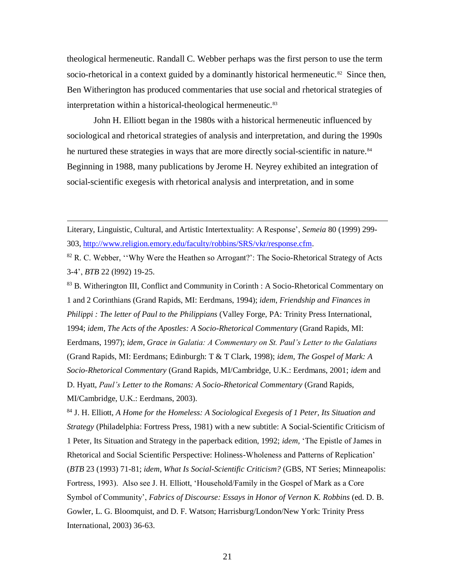theological hermeneutic. Randall C. Webber perhaps was the first person to use the term socio-rhetorical in a context guided by a dominantly historical hermeneutic.<sup>82</sup> Since then, Ben Witherington has produced commentaries that use social and rhetorical strategies of interpretation within a historical-theological hermeneutic.<sup>83</sup>

John H. Elliott began in the 1980s with a historical hermeneutic influenced by sociological and rhetorical strategies of analysis and interpretation, and during the 1990s he nurtured these strategies in ways that are more directly social-scientific in nature.<sup>84</sup> Beginning in 1988, many publications by Jerome H. Neyrey exhibited an integration of social-scientific exegesis with rhetorical analysis and interpretation, and in some

Literary, Linguistic, Cultural, and Artistic Intertextuality: A Response', *Semeia* 80 (1999) 299- 303, [http://www.religion.emory.edu/faculty/robbins/SRS/vkr/response.cfm.](http://www.religion.emory.edu/faculty/robbins/SRS/vkr/response.cfm)

 $\overline{a}$ 

 $82$  R. C. Webber, "Why Were the Heathen so Arrogant?": The Socio-Rhetorical Strategy of Acts 3-4', *BTB* 22 (l992) 19-25.

<sup>83</sup> B. Witherington III, Conflict and Community in Corinth : A Socio-Rhetorical Commentary on 1 and 2 Corinthians (Grand Rapids, MI: Eerdmans, 1994); *idem*, *Friendship and Finances in Philippi : The letter of Paul to the Philippians* (Valley Forge, PA: Trinity Press International, 1994; *idem*, *The Acts of the Apostles: A Socio-Rhetorical Commentary* (Grand Rapids, MI: Eerdmans, 1997); *idem*, *Grace in Galatia: A Commentary on St. Paul's Letter to the Galatians* (Grand Rapids, MI: Eerdmans; Edinburgh: T & T Clark, 1998); *idem, The Gospel of Mark: A Socio-Rhetorical Commentary* (Grand Rapids, MI/Cambridge, U.K.: Eerdmans, 2001; *idem* and D. Hyatt, *Paul's Letter to the Romans: A Socio-Rhetorical Commentary* (Grand Rapids, MI/Cambridge, U.K.: Eerdmans, 2003).

<sup>84</sup> J. H. Elliott, *A Home for the Homeless: A Sociological Exegesis of 1 Peter, Its Situation and Strategy* (Philadelphia: Fortress Press, 1981) with a new subtitle: A Social-Scientific Criticism of 1 Peter, Its Situation and Strategy in the paperback edition, 1992; *idem,* 'The Epistle of James in Rhetorical and Social Scientific Perspective: Holiness-Wholeness and Patterns of Replication' (*BTB* 23 (1993) 71-81; *idem*, *What Is Social-Scientific Criticism?* (GBS, NT Series; Minneapolis: Fortress, 1993). Also see J. H. Elliott, 'Household/Family in the Gospel of Mark as a Core Symbol of Community', *Fabrics of Discourse: Essays in Honor of Vernon K. Robbins* (ed. D. B. Gowler, L. G. Bloomquist, and D. F. Watson; Harrisburg/London/New York: Trinity Press International, 2003) 36-63.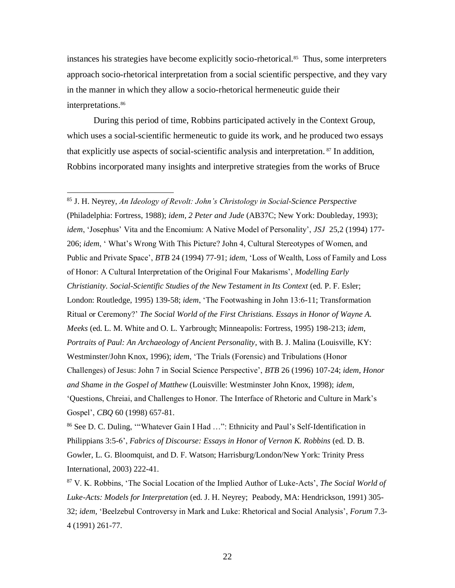instances his strategies have become explicitly socio-rhetorical.<sup>85</sup> Thus, some interpreters approach socio-rhetorical interpretation from a social scientific perspective, and they vary in the manner in which they allow a socio-rhetorical hermeneutic guide their interpretations.<sup>86</sup>

During this period of time, Robbins participated actively in the Context Group, which uses a social-scientific hermeneutic to guide its work, and he produced two essays that explicitly use aspects of social-scientific analysis and interpretation.<sup>87</sup> In addition, Robbins incorporated many insights and interpretive strategies from the works of Bruce

 $\overline{a}$ 

<sup>85</sup> J. H. Neyrey, *An Ideology of Revolt: John's Christology in Social-Science Perspective*  (Philadelphia: Fortress, 1988); *idem, 2 Peter and Jude* (AB37C; New York: Doubleday, 1993); *idem*, 'Josephus' Vita and the Encomium: A Native Model of Personality', *JSJ* 25,2 (1994) 177- 206; *idem*, ' What's Wrong With This Picture? John 4, Cultural Stereotypes of Women, and Public and Private Space', *BTB* 24 (1994) 77-91; *idem*, 'Loss of Wealth, Loss of Family and Loss of Honor: A Cultural Interpretation of the Original Four Makarisms', *Modelling Early Christianity. Social-Scientific Studies of the New Testament in Its Context* (ed. P. F. Esler; London: Routledge, 1995) 139-58; *idem*, 'The Footwashing in John 13:6-11; Transformation Ritual or Ceremony?' *The Social World of the First Christians. Essays in Honor of Wayne A. Meeks* (ed. L. M. White and O. L. Yarbrough; Minneapolis: Fortress, 1995) 198-213; *idem*, *Portraits of Paul: An Archaeology of Ancient Personality*, with B. J. Malina (Louisville, KY: Westminster/John Knox, 1996); *idem*, 'The Trials (Forensic) and Tribulations (Honor Challenges) of Jesus: John 7 in Social Science Perspective', *BTB* 26 (1996) 107-24; *idem*, *Honor and Shame in the Gospel of Matthew* (Louisville: Westminster John Knox, 1998); *idem*, 'Questions, Chreiai, and Challenges to Honor. The Interface of Rhetoric and Culture in Mark's Gospel', *CBQ* 60 (1998) 657-81.

<sup>86</sup> See D. C. Duling, '"Whatever Gain I Had …": Ethnicity and Paul's Self-Identification in Philippians 3:5-6', *Fabrics of Discourse: Essays in Honor of Vernon K. Robbins* (ed. D. B. Gowler, L. G. Bloomquist, and D. F. Watson; Harrisburg/London/New York: Trinity Press International, 2003) 222-41.

<sup>87</sup> V. K. Robbins, 'The Social Location of the Implied Author of Luke-Acts', *The Social World of Luke-Acts: Models for Interpretation* (ed. J. H. Neyrey; Peabody, MA: Hendrickson, 1991) 305- 32; *idem,* 'Beelzebul Controversy in Mark and Luke: Rhetorical and Social Analysis', *Forum* 7.3- 4 (1991) 261-77.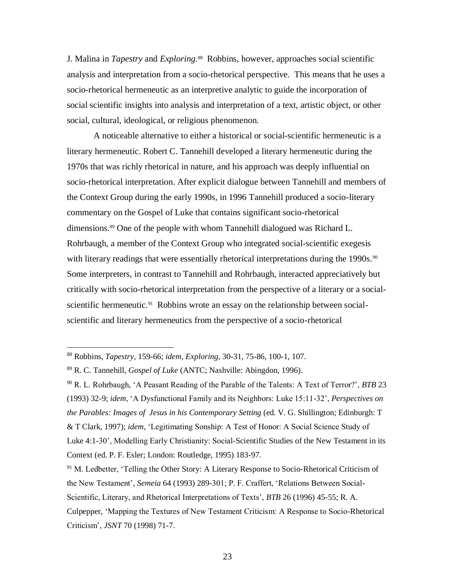J. Malina in *Tapestry* and *Exploring*. 88 Robbins, however, approaches social scientific analysis and interpretation from a socio-rhetorical perspective. This means that he uses a socio-rhetorical hermeneutic as an interpretive analytic to guide the incorporation of social scientific insights into analysis and interpretation of a text, artistic object, or other social, cultural, ideological, or religious phenomenon.

A noticeable alternative to either a historical or social-scientific hermeneutic is a literary hermeneutic. Robert C. Tannehill developed a literary hermeneutic during the 1970s that was richly rhetorical in nature, and his approach was deeply influential on socio-rhetorical interpretation. After explicit dialogue between Tannehill and members of the Context Group during the early 1990s, in 1996 Tannehill produced a socio-literary commentary on the Gospel of Luke that contains significant socio-rhetorical dimensions.<sup>89</sup> One of the people with whom Tannehill dialogued was Richard L. Rohrbaugh, a member of the Context Group who integrated social-scientific exegesis with literary readings that were essentially rhetorical interpretations during the 1990s.<sup>90</sup> Some interpreters, in contrast to Tannehill and Rohrbaugh, interacted appreciatively but critically with socio-rhetorical interpretation from the perspective of a literary or a socialscientific hermeneutic.<sup>91</sup> Robbins wrote an essay on the relationship between socialscientific and literary hermeneutics from the perspective of a socio-rhetorical

<sup>88</sup> Robbins, *Tapestry*, 159-66; *idem*, *Exploring*, 30-31, 75-86, 100-1, 107.

<sup>89</sup> R. C. Tannehill, *Gospel of Luke* (ANTC; Nashville: Abingdon, 1996).

<sup>90</sup> R. L. Rohrbaugh, 'A Peasant Reading of the Parable of the Talents: A Text of Terror?', *BTB* 23 (1993) 32-9; *idem*, 'A Dysfunctional Family and its Neighbors: Luke 15:11-32', *Perspectives on the Parables: Images of Jesus in his Contemporary Setting (ed. V. G. Shillington; Edinburgh: T* & T Clark, 1997); *idem*, 'Legitimating Sonship: A Test of Honor: A Social Science Study of Luke 4:1-30', Modelling Early Christianity: Social-Scientific Studies of the New Testament in its Context (ed. P. F. Esler; London: Routledge, 1995) 183-97.

 $91$  M. Ledbetter, 'Telling the Other Story: A Literary Response to Socio-Rhetorical Criticism of the New Testament', *Semeia* 64 (1993) 289-301; P. F. Craffert, 'Relations Between Social-Scientific, Literary, and Rhetorical Interpretations of Texts', *BTB* 26 (1996) 45-55; R. A. Culpepper, 'Mapping the Textures of New Testament Criticism: A Response to Socio-Rhetorical Criticism', *JSNT* 70 (1998) 71-7.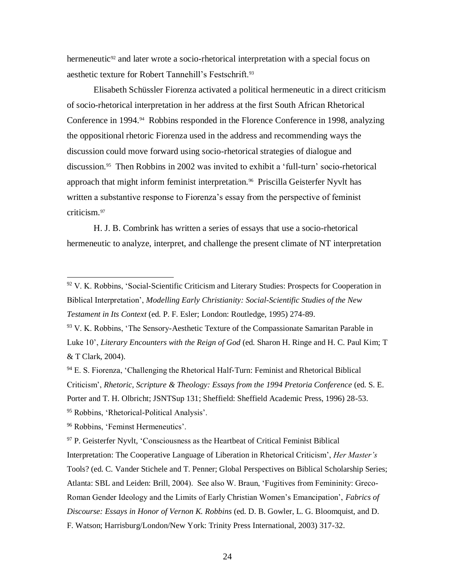hermeneutic<sup>92</sup> and later wrote a socio-rhetorical interpretation with a special focus on aesthetic texture for Robert Tannehill's Festschrift.<sup>93</sup>

Elisabeth Schüssler Fiorenza activated a political hermeneutic in a direct criticism of socio-rhetorical interpretation in her address at the first South African Rhetorical Conference in 1994.<sup>94</sup> Robbins responded in the Florence Conference in 1998, analyzing the oppositional rhetoric Fiorenza used in the address and recommending ways the discussion could move forward using socio-rhetorical strategies of dialogue and discussion.<sup>95</sup> Then Robbins in 2002 was invited to exhibit a 'full-turn' socio-rhetorical approach that might inform feminist interpretation.<sup>96</sup> Priscilla Geisterfer Nyvlt has written a substantive response to Fiorenza's essay from the perspective of feminist criticism.<sup>97</sup>

H. J. B. Combrink has written a series of essays that use a socio-rhetorical hermeneutic to analyze, interpret, and challenge the present climate of NT interpretation

 $93$  V. K. Robbins, 'The Sensory-Aesthetic Texture of the Compassionate Samaritan Parable in Luke 10', *Literary Encounters with the Reign of God* (ed. Sharon H. Ringe and H. C. Paul Kim; T & T Clark, 2004).

<sup>96</sup> Robbins, 'Feminst Hermeneutics'.

 $\overline{a}$ 

<sup>97</sup> P. Geisterfer Nyvlt, 'Consciousness as the Heartbeat of Critical Feminist Biblical Interpretation: The Cooperative Language of Liberation in Rhetorical Criticism', *Her Master's*  Tools? (ed. C. Vander Stichele and T. Penner; Global Perspectives on Biblical Scholarship Series; Atlanta: SBL and Leiden: Brill, 2004). See also W. Braun, 'Fugitives from Femininity: Greco-Roman Gender Ideology and the Limits of Early Christian Women's Emancipation', *Fabrics of Discourse: Essays in Honor of Vernon K. Robbins* (ed. D. B. Gowler, L. G. Bloomquist, and D. F. Watson; Harrisburg/London/New York: Trinity Press International, 2003) 317-32.

 $92$  V. K. Robbins, 'Social-Scientific Criticism and Literary Studies: Prospects for Cooperation in Biblical Interpretation', *Modelling Early Christianity: Social-Scientific Studies of the New Testament in Its Context* (ed. P. F. Esler; London: Routledge, 1995) 274-89.

<sup>94</sup> E. S. Fiorenza, 'Challenging the Rhetorical Half-Turn: Feminist and Rhetorical Biblical Criticism', *Rhetoric, Scripture & Theology: Essays from the 1994 Pretoria Conference* (ed. S. E. Porter and T. H. Olbricht; JSNTSup 131; Sheffield: Sheffield Academic Press, 1996) 28-53. <sup>95</sup> Robbins, 'Rhetorical-Political Analysis'.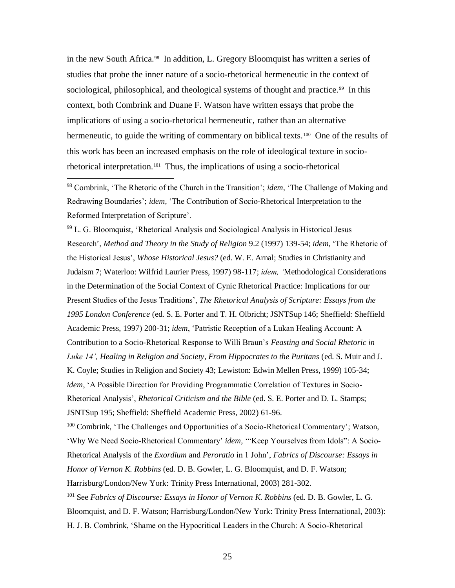in the new South Africa.<sup>98</sup> In addition, L. Gregory Bloomquist has written a series of studies that probe the inner nature of a socio-rhetorical hermeneutic in the context of sociological, philosophical, and theological systems of thought and practice.<sup>99</sup> In this context, both Combrink and Duane F. Watson have written essays that probe the implications of using a socio-rhetorical hermeneutic, rather than an alternative hermeneutic, to guide the writing of commentary on biblical texts.<sup>100</sup> One of the results of this work has been an increased emphasis on the role of ideological texture in sociorhetorical interpretation.<sup>101</sup> Thus, the implications of using a socio-rhetorical

 $\overline{a}$ 

<sup>99</sup> L. G. Bloomquist, 'Rhetorical Analysis and Sociological Analysis in Historical Jesus Research', *Method and Theory in the Study of Religion* 9.2 (1997) 139-54; *idem,* 'The Rhetoric of the Historical Jesus', *Whose Historical Jesus?* (ed. W. E. Arnal; Studies in Christianity and Judaism 7; Waterloo: Wilfrid Laurier Press, 1997) 98-117; *idem, '*Methodological Considerations in the Determination of the Social Context of Cynic Rhetorical Practice: Implications for our Present Studies of the Jesus Traditions', *The Rhetorical Analysis of Scripture: Essays from the 1995 London Conference* (ed. S. E. Porter and T. H. Olbricht; JSNTSup 146; Sheffield: Sheffield Academic Press, 1997) 200-31; *idem*, 'Patristic Reception of a Lukan Healing Account: A Contribution to a Socio-Rhetorical Response to Willi Braun's *Feasting and Social Rhetoric in Luke 14', Healing in Religion and Society, From Hippocrates to the Puritans* (ed. S. Muir and J. K. Coyle; Studies in Religion and Society 43; Lewiston: Edwin Mellen Press, 1999) 105-34; *idem*, 'A Possible Direction for Providing Programmatic Correlation of Textures in Socio-Rhetorical Analysis', *Rhetorical Criticism and the Bible* (ed. S. E. Porter and D. L. Stamps; JSNTSup 195; Sheffield: Sheffield Academic Press, 2002) 61-96.

<sup>100</sup> Combrink*,* 'The Challenges and Opportunities of a Socio-Rhetorical Commentary'; Watson, 'Why We Need Socio-Rhetorical Commentary' *idem,* '"Keep Yourselves from Idols": A Socio-Rhetorical Analysis of the *Exordium* and *Peroratio* in 1 John', *Fabrics of Discourse: Essays in Honor of Vernon K. Robbins* (ed. D. B. Gowler, L. G. Bloomquist, and D. F. Watson; Harrisburg/London/New York: Trinity Press International, 2003) 281-302.

<sup>101</sup> See *Fabrics of Discourse: Essays in Honor of Vernon K. Robbins* (ed. D. B. Gowler, L. G. Bloomquist, and D. F. Watson; Harrisburg/London/New York: Trinity Press International, 2003): H. J. B. Combrink, 'Shame on the Hypocritical Leaders in the Church: A Socio-Rhetorical

<sup>98</sup> Combrink, 'The Rhetoric of the Church in the Transition'; *idem,* 'The Challenge of Making and Redrawing Boundaries'; *idem,* 'The Contribution of Socio-Rhetorical Interpretation to the Reformed Interpretation of Scripture'.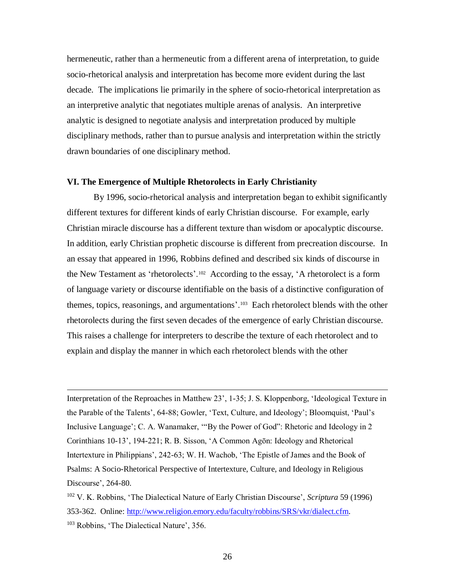hermeneutic, rather than a hermeneutic from a different arena of interpretation, to guide socio-rhetorical analysis and interpretation has become more evident during the last decade. The implications lie primarily in the sphere of socio-rhetorical interpretation as an interpretive analytic that negotiates multiple arenas of analysis. An interpretive analytic is designed to negotiate analysis and interpretation produced by multiple disciplinary methods, rather than to pursue analysis and interpretation within the strictly drawn boundaries of one disciplinary method.

#### **VI. The Emergence of Multiple Rhetorolects in Early Christianity**

 $\overline{a}$ 

By 1996, socio-rhetorical analysis and interpretation began to exhibit significantly different textures for different kinds of early Christian discourse. For example, early Christian miracle discourse has a different texture than wisdom or apocalyptic discourse. In addition, early Christian prophetic discourse is different from precreation discourse. In an essay that appeared in 1996, Robbins defined and described six kinds of discourse in the New Testament as 'rhetorolects'.<sup>102</sup> According to the essay, 'A rhetorolect is a form of language variety or discourse identifiable on the basis of a distinctive configuration of themes, topics, reasonings, and argumentations'.<sup>103</sup> Each rhetorolect blends with the other rhetorolects during the first seven decades of the emergence of early Christian discourse. This raises a challenge for interpreters to describe the texture of each rhetorolect and to explain and display the manner in which each rhetorolect blends with the other

Interpretation of the Reproaches in Matthew 23', 1-35; J. S. Kloppenborg, 'Ideological Texture in the Parable of the Talents', 64-88; Gowler, 'Text, Culture, and Ideology'; Bloomquist, 'Paul's Inclusive Language'; C. A. Wanamaker, '"By the Power of God": Rhetoric and Ideology in 2 Corinthians 10-13', 194-221; R. B. Sisson, 'A Common Agōn: Ideology and Rhetorical Intertexture in Philippians', 242-63; W. H. Wachob, 'The Epistle of James and the Book of Psalms: A Socio-Rhetorical Perspective of Intertexture, Culture, and Ideology in Religious Discourse', 264-80.

<sup>102</sup> V. K. Robbins, 'The Dialectical Nature of Early Christian Discourse', *Scriptura* 59 (1996) 353-362. Online: [http://www.religion.emory.edu/faculty/robbins/SRS/vkr/dialect.cfm.](http://www.religion.emory.edu/faculty/robbins/SRS/vkr/dialect.cfm)  <sup>103</sup> Robbins, 'The Dialectical Nature', 356.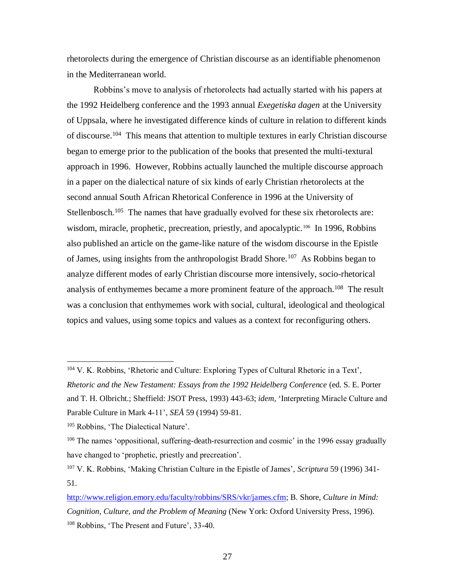rhetorolects during the emergence of Christian discourse as an identifiable phenomenon in the Mediterranean world.

Robbins's move to analysis of rhetorolects had actually started with his papers at the 1992 Heidelberg conference and the 1993 annual *Exegetiska dagen* at the University of Uppsala, where he investigated difference kinds of culture in relation to different kinds of discourse.<sup>104</sup> This means that attention to multiple textures in early Christian discourse began to emerge prior to the publication of the books that presented the multi-textural approach in 1996. However, Robbins actually launched the multiple discourse approach in a paper on the dialectical nature of six kinds of early Christian rhetorolects at the second annual South African Rhetorical Conference in 1996 at the University of Stellenbosch.<sup>105</sup> The names that have gradually evolved for these six rhetorolects are: wisdom, miracle, prophetic, precreation, priestly, and apocalyptic.<sup>106</sup> In 1996, Robbins also published an article on the game-like nature of the wisdom discourse in the Epistle of James, using insights from the anthropologist Bradd Shore.<sup>107</sup> As Robbins began to analyze different modes of early Christian discourse more intensively, socio-rhetorical analysis of enthymemes became a more prominent feature of the approach.<sup>108</sup> The result was a conclusion that enthymemes work with social, cultural, ideological and theological topics and values, using some topics and values as a context for reconfiguring others.

<sup>105</sup> Robbins, 'The Dialectical Nature'.

<sup>104</sup> V. K. Robbins, 'Rhetoric and Culture: Exploring Types of Cultural Rhetoric in a Text', *Rhetoric and the New Testament: Essays from the 1992 Heidelberg Conference* (ed. S. E. Porter and T. H. Olbricht.; Sheffield: JSOT Press, 1993) 443-63; *idem,* 'Interpreting Miracle Culture and Parable Culture in Mark 4-11', *SEÅ* 59 (1994) 59-81.

<sup>&</sup>lt;sup>106</sup> The names 'oppositional, suffering-death-resurrection and cosmic' in the 1996 essay gradually have changed to 'prophetic, priestly and precreation'.

<sup>107</sup> V. K. Robbins, 'Making Christian Culture in the Epistle of James', *Scriptura* 59 (1996) 341- 51.

[http://www.religion.emory.edu/faculty/robbins/SRS/vkr/james.cfm;](http://www.religion.emory.edu/faculty/robbins/SRS/vkr/james.cfm) B. Shore, *Culture in Mind: Cognition, Culture, and the Problem of Meaning* (New York: Oxford University Press, 1996). <sup>108</sup> Robbins, 'The Present and Future', 33-40.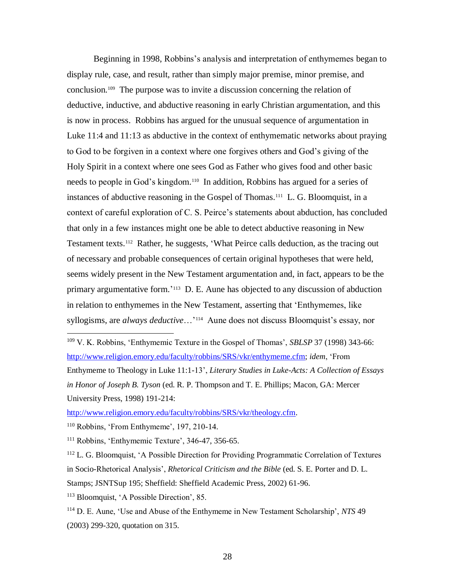Beginning in 1998, Robbins's analysis and interpretation of enthymemes began to display rule, case, and result, rather than simply major premise, minor premise, and conclusion.<sup>109</sup> The purpose was to invite a discussion concerning the relation of deductive, inductive, and abductive reasoning in early Christian argumentation, and this is now in process. Robbins has argued for the unusual sequence of argumentation in Luke 11:4 and 11:13 as abductive in the context of enthymematic networks about praying to God to be forgiven in a context where one forgives others and God's giving of the Holy Spirit in a context where one sees God as Father who gives food and other basic needs to people in God's kingdom. 110 In addition, Robbins has argued for a series of instances of abductive reasoning in the Gospel of Thomas.<sup>111</sup> L. G. Bloomquist, in a context of careful exploration of C. S. Peirce's statements about abduction, has concluded that only in a few instances might one be able to detect abductive reasoning in New Testament texts.<sup>112</sup> Rather, he suggests, 'What Peirce calls deduction, as the tracing out of necessary and probable consequences of certain original hypotheses that were held, seems widely present in the New Testament argumentation and, in fact, appears to be the primary argumentative form.<sup>'113</sup> D. E. Aune has objected to any discussion of abduction in relation to enthymemes in the New Testament, asserting that 'Enthymemes, like syllogisms, are *always deductive*…'<sup>114</sup> Aune does not discuss Bloomquist's essay, nor

<sup>109</sup> V. K. Robbins, 'Enthymemic Texture in the Gospel of Thomas', *SBLSP* 37 (1998) 343-66: [http://www.religion.emory.edu/faculty/robbins/SRS/vkr/enthymeme.cfm;](http://www.religion.emory.edu/faculty/robbins/SRS/vkr/enthymeme.cfm) *idem*, 'From Enthymeme to Theology in Luke 11:1-13', *Literary Studies in Luke-Acts: A Collection of Essays in Honor of Joseph B. Tyson* (ed. R. P. Thompson and T. E. Phillips; Macon, GA: Mercer University Press, 1998) 191-214:

[http://www.religion.emory.edu/faculty/robbins/SRS/vkr/theology.cfm.](http://www.religion.emory.edu/faculty/robbins/SRS/vkr/theology.cfm)

 $\overline{a}$ 

<sup>112</sup> L. G. Bloomquist, 'A Possible Direction for Providing Programmatic Correlation of Textures in Socio-Rhetorical Analysis', *Rhetorical Criticism and the Bible* (ed. S. E. Porter and D. L. Stamps; JSNTSup 195; Sheffield: Sheffield Academic Press, 2002) 61-96.

<sup>113</sup> Bloomquist, 'A Possible Direction', 85.

<sup>110</sup> Robbins, 'From Enthymeme', 197, 210-14.

<sup>111</sup> Robbins, 'Enthymemic Texture', 346-47, 356-65.

<sup>114</sup> D. E. Aune, 'Use and Abuse of the Enthymeme in New Testament Scholarship', *NTS* 49 (2003) 299-320, quotation on 315.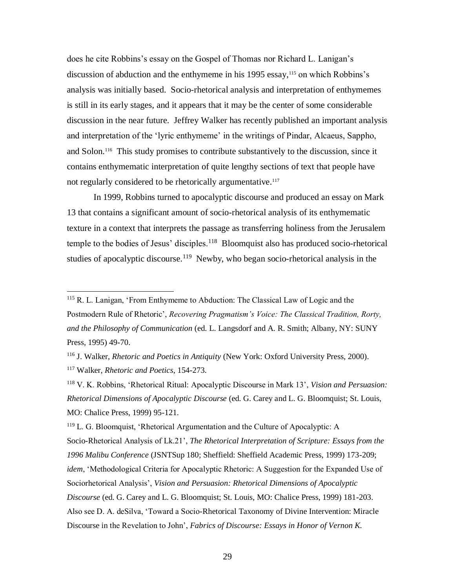does he cite Robbins's essay on the Gospel of Thomas nor Richard L. Lanigan's discussion of abduction and the enthymeme in his 1995 essay, <sup>115</sup> on which Robbins's analysis was initially based. Socio-rhetorical analysis and interpretation of enthymemes is still in its early stages, and it appears that it may be the center of some considerable discussion in the near future. Jeffrey Walker has recently published an important analysis and interpretation of the 'lyric enthymeme' in the writings of Pindar, Alcaeus, Sappho, and Solon.<sup>116</sup> This study promises to contribute substantively to the discussion, since it contains enthymematic interpretation of quite lengthy sections of text that people have not regularly considered to be rhetorically argumentative. 117

In 1999, Robbins turned to apocalyptic discourse and produced an essay on Mark 13 that contains a significant amount of socio-rhetorical analysis of its enthymematic texture in a context that interprets the passage as transferring holiness from the Jerusalem temple to the bodies of Jesus' disciples.<sup>118</sup> Bloomquist also has produced socio-rhetorical studies of apocalyptic discourse.<sup>119</sup> Newby, who began socio-rhetorical analysis in the

 $\overline{a}$ 

<sup>119</sup> L. G. Bloomquist, 'Rhetorical Argumentation and the Culture of Apocalyptic: A Socio-Rhetorical Analysis of Lk.21', *The Rhetorical Interpretation of Scripture: Essays from the 1996 Malibu Conference* (JSNTSup 180; Sheffield: Sheffield Academic Press, 1999) 173-209; *idem*, 'Methodological Criteria for Apocalyptic Rhetoric: A Suggestion for the Expanded Use of Sociorhetorical Analysis', *Vision and Persuasion: Rhetorical Dimensions of Apocalyptic Discourse* (ed. G. Carey and L. G. Bloomquist; St. Louis, MO: Chalice Press, 1999) 181-203. Also see D. A. deSilva, 'Toward a Socio-Rhetorical Taxonomy of Divine Intervention: Miracle Discourse in the Revelation to John', *Fabrics of Discourse: Essays in Honor of Vernon K.* 

<sup>115</sup> R. L. Lanigan, 'From Enthymeme to Abduction: The Classical Law of Logic and the Postmodern Rule of Rhetoric', *Recovering Pragmatism's Voice: The Classical Tradition, Rorty, and the Philosophy of Communication* (ed. L. Langsdorf and A. R. Smith; Albany, NY: SUNY Press, 1995) 49-70.

<sup>116</sup> J. Walker, *Rhetoric and Poetics in Antiquity* (New York: Oxford University Press, 2000). <sup>117</sup> Walker, *Rhetoric and Poetics*, 154-273.

<sup>118</sup> V. K. Robbins, 'Rhetorical Ritual: Apocalyptic Discourse in Mark 13', *Vision and Persuasion: Rhetorical Dimensions of Apocalyptic Discourse* (ed. G. Carey and L. G. Bloomquist; St. Louis, MO: Chalice Press, 1999) 95-121.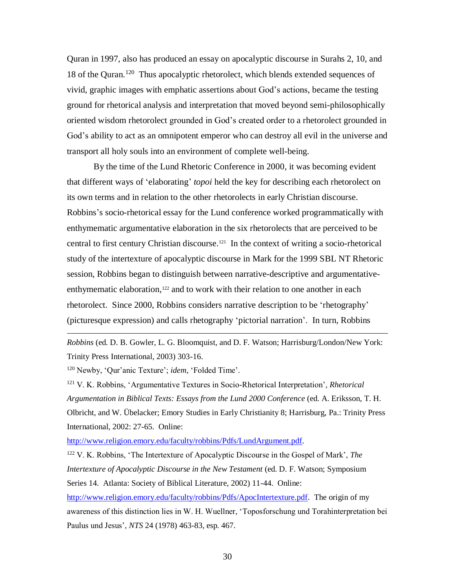Quran in 1997, also has produced an essay on apocalyptic discourse in Surahs 2, 10, and 18 of the Quran.<sup>120</sup> Thus apocalyptic rhetorolect, which blends extended sequences of vivid, graphic images with emphatic assertions about God's actions, became the testing ground for rhetorical analysis and interpretation that moved beyond semi-philosophically oriented wisdom rhetorolect grounded in God's created order to a rhetorolect grounded in God's ability to act as an omnipotent emperor who can destroy all evil in the universe and transport all holy souls into an environment of complete well-being.

By the time of the Lund Rhetoric Conference in 2000, it was becoming evident that different ways of 'elaborating' *topoi* held the key for describing each rhetorolect on its own terms and in relation to the other rhetorolects in early Christian discourse. Robbins's socio-rhetorical essay for the Lund conference worked programmatically with enthymematic argumentative elaboration in the six rhetorolects that are perceived to be central to first century Christian discourse. 121 In the context of writing a socio-rhetorical study of the intertexture of apocalyptic discourse in Mark for the 1999 SBL NT Rhetoric session, Robbins began to distinguish between narrative-descriptive and argumentativeenthymematic elaboration, <sup>122</sup> and to work with their relation to one another in each rhetorolect. Since 2000, Robbins considers narrative description to be 'rhetography' (picturesque expression) and calls rhetography 'pictorial narration'. In turn, Robbins

*Robbins* (ed. D. B. Gowler, L. G. Bloomquist, and D. F. Watson; Harrisburg/London/New York: Trinity Press International, 2003) 303-16.

<sup>120</sup> Newby, 'Qur'anic Texture'; *idem,* 'Folded Time'.

 $\overline{a}$ 

<sup>121</sup> V. K. Robbins, 'Argumentative Textures in Socio-Rhetorical Interpretation', *Rhetorical Argumentation in Biblical Texts: Essays from the Lund 2000 Conference* (ed. A. Eriksson, T. H. Olbricht, and W. Übelacker; Emory Studies in Early Christianity 8; Harrisburg, Pa.: Trinity Press International, 2002: 27-65. Online:

[http://www.religion.emory.edu/faculty/robbins/Pdfs/LundArgument.pdf.](http://www.religion.emory.edu/faculty/robbins/Pdfs/LundArgument.pdf)

<sup>122</sup> V. K. Robbins, 'The Intertexture of Apocalyptic Discourse in the Gospel of Mark', *The Intertexture of Apocalyptic Discourse in the New Testament* (ed. D. F. Watson; Symposium Series 14. Atlanta: Society of Biblical Literature, 2002) 11-44. Online: [http://www.religion.emory.edu/faculty/robbins/Pdfs/ApocIntertexture.pdf.](http://www.religion.emory.edu/faculty/robbins/Pdfs/ApocIntertexture.pdf) The origin of my awareness of this distinction lies in W. H. Wuellner, 'Toposforschung und Torahinterpretation bei Paulus und Jesus', *NTS* 24 (1978) 463-83, esp. 467.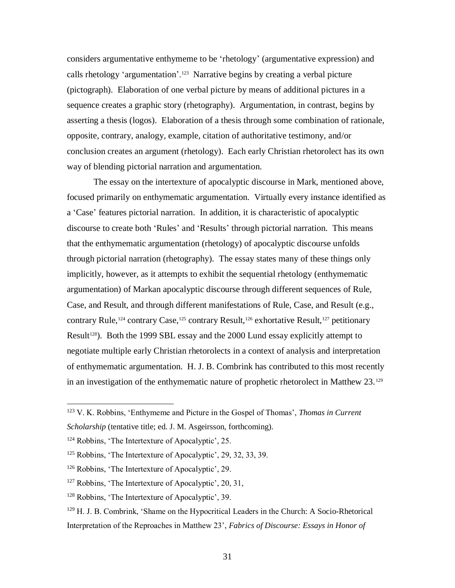considers argumentative enthymeme to be 'rhetology' (argumentative expression) and calls rhetology 'argumentation'.<sup>123</sup> Narrative begins by creating a verbal picture (pictograph). Elaboration of one verbal picture by means of additional pictures in a sequence creates a graphic story (rhetography). Argumentation, in contrast, begins by asserting a thesis (logos). Elaboration of a thesis through some combination of rationale, opposite, contrary, analogy, example, citation of authoritative testimony, and/or conclusion creates an argument (rhetology). Each early Christian rhetorolect has its own way of blending pictorial narration and argumentation.

The essay on the intertexture of apocalyptic discourse in Mark, mentioned above, focused primarily on enthymematic argumentation. Virtually every instance identified as a 'Case' features pictorial narration. In addition, it is characteristic of apocalyptic discourse to create both 'Rules' and 'Results' through pictorial narration. This means that the enthymematic argumentation (rhetology) of apocalyptic discourse unfolds through pictorial narration (rhetography). The essay states many of these things only implicitly, however, as it attempts to exhibit the sequential rhetology (enthymematic argumentation) of Markan apocalyptic discourse through different sequences of Rule, Case, and Result, and through different manifestations of Rule, Case, and Result (e.g., contrary Rule,<sup>124</sup> contrary Case,<sup>125</sup> contrary Result,<sup>126</sup> exhortative Result,<sup>127</sup> petitionary Result<sup>128</sup>). Both the 1999 SBL essay and the 2000 Lund essay explicitly attempt to negotiate multiple early Christian rhetorolects in a context of analysis and interpretation of enthymematic argumentation. H. J. B. Combrink has contributed to this most recently in an investigation of the enthymematic nature of prophetic rhetorolect in Matthew 23.<sup>129</sup>

<sup>123</sup> V. K. Robbins, 'Enthymeme and Picture in the Gospel of Thomas', *Thomas in Current Scholarship* (tentative title; ed. J. M. Asgeirsson, forthcoming).

<sup>124</sup> Robbins, 'The Intertexture of Apocalyptic', 25.

<sup>&</sup>lt;sup>125</sup> Robbins, 'The Intertexture of Apocalyptic', 29, 32, 33, 39.

<sup>126</sup> Robbins, 'The Intertexture of Apocalyptic', 29.

<sup>127</sup> Robbins, 'The Intertexture of Apocalyptic', 20, 31,

<sup>128</sup> Robbins, 'The Intertexture of Apocalyptic', 39.

<sup>129</sup> H. J. B. Combrink, 'Shame on the Hypocritical Leaders in the Church: A Socio-Rhetorical Interpretation of the Reproaches in Matthew 23', *Fabrics of Discourse: Essays in Honor of*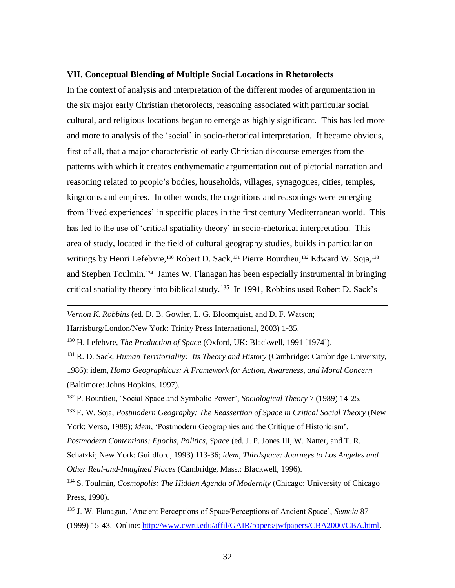#### **VII. Conceptual Blending of Multiple Social Locations in Rhetorolects**

In the context of analysis and interpretation of the different modes of argumentation in the six major early Christian rhetorolects, reasoning associated with particular social, cultural, and religious locations began to emerge as highly significant. This has led more and more to analysis of the 'social' in socio-rhetorical interpretation. It became obvious, first of all, that a major characteristic of early Christian discourse emerges from the patterns with which it creates enthymematic argumentation out of pictorial narration and reasoning related to people's bodies, households, villages, synagogues, cities, temples, kingdoms and empires. In other words, the cognitions and reasonings were emerging from 'lived experiences' in specific places in the first century Mediterranean world. This has led to the use of 'critical spatiality theory' in socio-rhetorical interpretation. This area of study, located in the field of cultural geography studies, builds in particular on writings by Henri Lefebvre,<sup>130</sup> Robert D. Sack,<sup>131</sup> Pierre Bourdieu,<sup>132</sup> Edward W. Soja,<sup>133</sup> and Stephen Toulmin.<sup>134</sup> James W. Flanagan has been especially instrumental in bringing critical spatiality theory into biblical study.<sup>135</sup> In 1991, Robbins used Robert D. Sack's

*Vernon K. Robbins* (ed. D. B. Gowler, L. G. Bloomquist, and D. F. Watson;

Harrisburg/London/New York: Trinity Press International, 2003) 1-35.

 $\overline{a}$ 

<sup>130</sup> H. Lefebvre, *The Production of Space* (Oxford, UK: Blackwell, 1991 [1974]).

<sup>131</sup> R. D. Sack, *Human Territoriality: Its Theory and History* (Cambridge: Cambridge University, 1986); idem, *Homo Geographicus: A Framework for Action, Awareness, and Moral Concern* (Baltimore: Johns Hopkins, 1997).

<sup>132</sup> P. Bourdieu, 'Social Space and Symbolic Power', *Sociological Theory* 7 (1989) 14-25.

<sup>133</sup> E. W. Soja, *Postmodern Geography: The Reassertion of Space in Critical Social Theory* (New

York: Verso, 1989); *idem,* 'Postmodern Geographies and the Critique of Historicism',

*Postmodern Contentions: Epochs, Politics, Space* (ed. J. P. Jones III, W. Natter, and T. R.

Schatzki; New York: Guildford, 1993) 113-36; *idem, Thirdspace: Journeys to Los Angeles and Other Real-and-Imagined Places* (Cambridge, Mass.: Blackwell, 1996).

<sup>134</sup> S. Toulmin, *Cosmopolis: The Hidden Agenda of Modernity* (Chicago: University of Chicago Press, 1990).

<sup>135</sup> J. W. Flanagan, 'Ancient Perceptions of Space/Perceptions of Ancient Space', *Semeia* 87 (1999) 15-43. Online: [http://www.cwru.edu/affil/GAIR/papers/jwfpapers/CBA2000/CBA.html.](http://www.cwru.edu/affil/GAIR/papers/jwfpapers/CBA2000/CBA.html)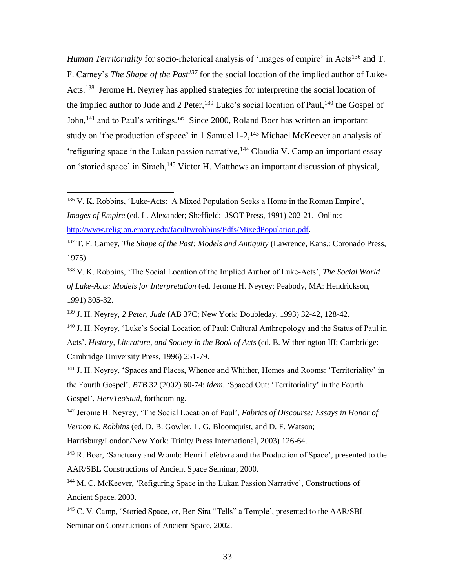*Human Territoriality* for socio-rhetorical analysis of 'images of empire' in Acts<sup>136</sup> and T. F. Carney's *The Shape of the Past<sup>137</sup>* for the social location of the implied author of Luke-Acts.<sup>138</sup> Jerome H. Neyrey has applied strategies for interpreting the social location of the implied author to Jude and 2 Peter,  $139$  Luke's social location of Paul,  $140$  the Gospel of John,<sup>141</sup> and to Paul's writings.<sup>142</sup> Since 2000, Roland Boer has written an important study on 'the production of space' in 1 Samuel 1-2,<sup>143</sup> Michael McKeever an analysis of 'refiguring space in the Lukan passion narrative, <sup>144</sup> Claudia V. Camp an important essay on 'storied space' in Sirach,<sup>145</sup> Victor H. Matthews an important discussion of physical,

 $\overline{a}$ 

<sup>139</sup> J. H. Neyrey, *2 Peter, Jude* (AB 37C; New York: Doubleday, 1993) 32-42, 128-42.

<sup>140</sup> J. H. Neyrey, 'Luke's Social Location of Paul: Cultural Anthropology and the Status of Paul in Acts', *History, Literature, and Society in the Book of Acts* (ed. B. Witherington III; Cambridge: Cambridge University Press, 1996) 251-79.

<sup>141</sup> J. H. Neyrey, 'Spaces and Places, Whence and Whither, Homes and Rooms: 'Territoriality' in the Fourth Gospel', *BTB* 32 (2002) 60-74; *idem,* 'Spaced Out: 'Territoriality' in the Fourth Gospel', *HervTeoStud*, forthcoming.

<sup>142</sup> Jerome H. Neyrey, 'The Social Location of Paul', *Fabrics of Discourse: Essays in Honor of Vernon K. Robbins* (ed. D. B. Gowler, L. G. Bloomquist, and D. F. Watson;

Harrisburg/London/New York: Trinity Press International, 2003) 126-64.

<sup>143</sup> R. Boer, 'Sanctuary and Womb: Henri Lefebvre and the Production of Space', presented to the AAR/SBL Constructions of Ancient Space Seminar, 2000.

<sup>144</sup> M. C. McKeever, 'Refiguring Space in the Lukan Passion Narrative', Constructions of Ancient Space, 2000.

<sup>145</sup> C. V. Camp, 'Storied Space, or, Ben Sira "Tells" a Temple', presented to the AAR/SBL Seminar on Constructions of Ancient Space, 2002.

<sup>136</sup> V. K. Robbins, 'Luke-Acts: A Mixed Population Seeks a Home in the Roman Empire', *Images of Empire* (ed. L. Alexander; Sheffield: JSOT Press, 1991) 202-21. Online: [http://www.religion.emory.edu/faculty/robbins/Pdfs/MixedPopulation.pdf.](http://www.religion.emory.edu/faculty/robbins/Pdfs/MixedPopulation.pdf)

<sup>137</sup> T. F. Carney, *The Shape of the Past: Models and Antiquity* (Lawrence, Kans.: Coronado Press, 1975).

<sup>138</sup> V. K. Robbins, 'The Social Location of the Implied Author of Luke-Acts', *The Social World of Luke-Acts: Models for Interpretation* (ed. Jerome H. Neyrey; Peabody, MA: Hendrickson, 1991) 305-32.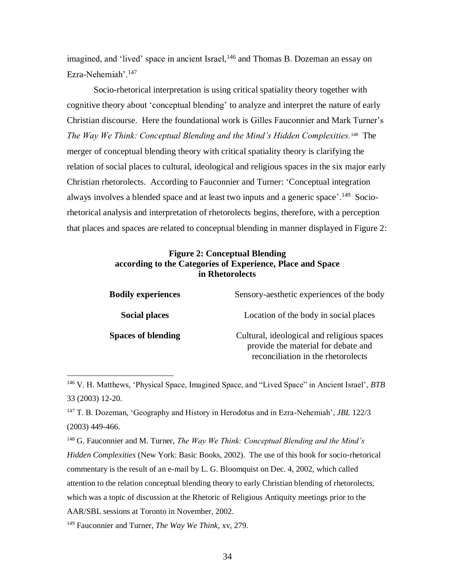imagined, and 'lived' space in ancient Israel, <sup>146</sup> and Thomas B. Dozeman an essay on Ezra-Nehemiah'.<sup>147</sup>

Socio-rhetorical interpretation is using critical spatiality theory together with cognitive theory about 'conceptual blending' to analyze and interpret the nature of early Christian discourse. Here the foundational work is Gilles Fauconnier and Mark Turner's *The Way We Think: Conceptual Blending and the Mind's Hidden Complexities.*<sup>148</sup> The merger of conceptual blending theory with critical spatiality theory is clarifying the relation of social places to cultural, ideological and religious spaces in the six major early Christian rhetorolects. According to Fauconnier and Turner: 'Conceptual integration always involves a blended space and at least two inputs and a generic space'.<sup>149</sup> Sociorhetorical analysis and interpretation of rhetorolects begins, therefore, with a perception that places and spaces are related to conceptual blending in manner displayed in Figure 2:

# **Figure 2: Conceptual Blending according to the Categories of Experience, Place and Space in Rhetorolects**

| <b>Bodily experiences</b> | Sensory-aesthetic experiences of the body                                         |  |  |
|---------------------------|-----------------------------------------------------------------------------------|--|--|
| <b>Social places</b>      | Location of the body in social places                                             |  |  |
| <b>Spaces of blending</b> | Cultural, ideological and religious spaces<br>provide the material for debate and |  |  |
|                           | reconciliation in the rhetorolects                                                |  |  |

<sup>146</sup> V. H. Matthews, 'Physical Space, Imagined Space, and "Lived Space" in Ancient Israel', *BTB*  33 (2003) 12-20.

<sup>148</sup> G. Fauconnier and M. Turner, *The Way We Think: Conceptual Blending and the Mind's Hidden Complexities* (New York: Basic Books, 2002). The use of this book for socio-rhetorical commentary is the result of an e-mail by L. G. Bloomquist on Dec. 4, 2002, which called attention to the relation conceptual blending theory to early Christian blending of rhetorolects, which was a topic of discussion at the Rhetoric of Religious Antiquity meetings prior to the AAR/SBL sessions at Toronto in November, 2002.

<sup>149</sup> Fauconnier and Turner, *The Way We Think,* xv, 279.

<sup>147</sup> T. B. Dozeman, 'Geography and History in Herodotus and in Ezra-Nehemiah', *JBL* 122/3 (2003) 449-466.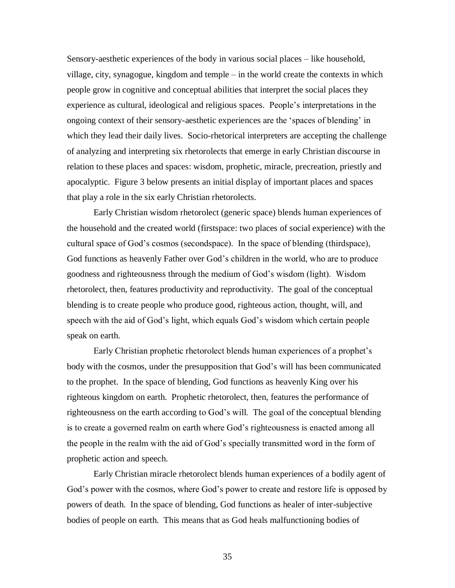Sensory-aesthetic experiences of the body in various social places – like household, village, city, synagogue, kingdom and temple – in the world create the contexts in which people grow in cognitive and conceptual abilities that interpret the social places they experience as cultural, ideological and religious spaces. People's interpretations in the ongoing context of their sensory-aesthetic experiences are the 'spaces of blending' in which they lead their daily lives. Socio-rhetorical interpreters are accepting the challenge of analyzing and interpreting six rhetorolects that emerge in early Christian discourse in relation to these places and spaces: wisdom, prophetic, miracle, precreation, priestly and apocalyptic. Figure 3 below presents an initial display of important places and spaces that play a role in the six early Christian rhetorolects.

Early Christian wisdom rhetorolect (generic space) blends human experiences of the household and the created world (firstspace: two places of social experience) with the cultural space of God's cosmos (secondspace). In the space of blending (thirdspace), God functions as heavenly Father over God's children in the world, who are to produce goodness and righteousness through the medium of God's wisdom (light). Wisdom rhetorolect, then, features productivity and reproductivity. The goal of the conceptual blending is to create people who produce good, righteous action, thought, will, and speech with the aid of God's light, which equals God's wisdom which certain people speak on earth.

Early Christian prophetic rhetorolect blends human experiences of a prophet's body with the cosmos, under the presupposition that God's will has been communicated to the prophet. In the space of blending, God functions as heavenly King over his righteous kingdom on earth. Prophetic rhetorolect, then, features the performance of righteousness on the earth according to God's will. The goal of the conceptual blending is to create a governed realm on earth where God's righteousness is enacted among all the people in the realm with the aid of God's specially transmitted word in the form of prophetic action and speech.

Early Christian miracle rhetorolect blends human experiences of a bodily agent of God's power with the cosmos, where God's power to create and restore life is opposed by powers of death. In the space of blending, God functions as healer of inter-subjective bodies of people on earth. This means that as God heals malfunctioning bodies of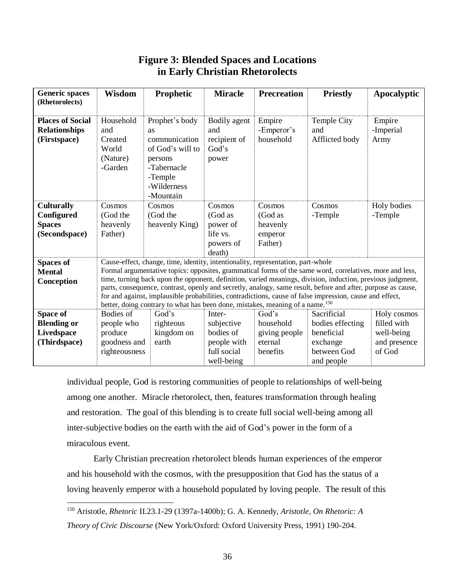# **Figure 3: Blended Spaces and Locations in Early Christian Rhetorolects**

| <b>Generic spaces</b><br>(Rhetorolects)                           | Wisdom                                                                                                                                                                                                                                                                                                                                                                                                                                                                                                                                                                                                                              | Prophetic                                                                                                                  | <b>Miracle</b>                                                                | <b>Precreation</b>                                         | <b>Priestly</b>                                                                        | Apocalyptic                                                        |
|-------------------------------------------------------------------|-------------------------------------------------------------------------------------------------------------------------------------------------------------------------------------------------------------------------------------------------------------------------------------------------------------------------------------------------------------------------------------------------------------------------------------------------------------------------------------------------------------------------------------------------------------------------------------------------------------------------------------|----------------------------------------------------------------------------------------------------------------------------|-------------------------------------------------------------------------------|------------------------------------------------------------|----------------------------------------------------------------------------------------|--------------------------------------------------------------------|
| <b>Places of Social</b><br><b>Relationships</b><br>(Firstspace)   | Household<br>and<br>Created<br>World<br>(Nature)<br>-Garden                                                                                                                                                                                                                                                                                                                                                                                                                                                                                                                                                                         | Prophet's body<br>as<br>communication<br>of God's will to<br>persons<br>-Tabernacle<br>-Temple<br>-Wilderness<br>-Mountain | Bodily agent<br>and<br>recipient of<br>God's<br>power                         | Empire<br>-Emperor's<br>household                          | Temple City<br>and<br>Afflicted body                                                   | Empire<br>-Imperial<br>Army                                        |
| <b>Culturally</b><br>Configured<br><b>Spaces</b><br>(Secondspace) | Cosmos<br>(God the<br>heavenly<br>Father)                                                                                                                                                                                                                                                                                                                                                                                                                                                                                                                                                                                           | Cosmos<br>(God the<br>heavenly King)                                                                                       | Cosmos<br>(God as<br>power of<br>life vs.<br>powers of<br>death)              | Cosmos<br>(God as<br>heavenly<br>emperor<br>Father)        | Cosmos<br>-Temple                                                                      | Holy bodies<br>-Temple                                             |
| <b>Spaces of</b><br><b>Mental</b><br>Conception                   | Cause-effect, change, time, identity, intentionality, representation, part-whole<br>Formal argumentative topics: opposites, grammatical forms of the same word, correlatives, more and less,<br>time, turning back upon the opponent, definition, varied meanings, division, induction, previous judgment,<br>parts, consequence, contrast, openly and secretly, analogy, same result, before and after, purpose as cause,<br>for and against, implausible probabilities, contradictions, cause of false impression, cause and effect,<br>better, doing contrary to what has been done, mistakes, meaning of a name. <sup>150</sup> |                                                                                                                            |                                                                               |                                                            |                                                                                        |                                                                    |
| Space of<br><b>Blending or</b><br>Livedspace<br>(Thirdspace)      | <b>Bodies</b> of<br>people who<br>produce<br>goodness and<br>righteousness                                                                                                                                                                                                                                                                                                                                                                                                                                                                                                                                                          | God's<br>righteous<br>kingdom on<br>earth                                                                                  | Inter-<br>subjective<br>bodies of<br>people with<br>full social<br>well-being | God's<br>household<br>giving people<br>eternal<br>benefits | Sacrificial<br>bodies effecting<br>beneficial<br>exchange<br>between God<br>and people | Holy cosmos<br>filled with<br>well-being<br>and presence<br>of God |

individual people, God is restoring communities of people to relationships of well-being among one another. Miracle rhetorolect, then, features transformation through healing and restoration. The goal of this blending is to create full social well-being among all inter-subjective bodies on the earth with the aid of God's power in the form of a miraculous event.

Early Christian precreation rhetorolect blends human experiences of the emperor and his household with the cosmos, with the presupposition that God has the status of a loving heavenly emperor with a household populated by loving people. The result of this

<sup>150</sup> Aristotle, *Rhetoric* II.23.1-29 (1397a-1400b); G. A. Kennedy, *Aristotle, On Rhetoric: A Theory of Civic Discourse* (New York/Oxford: Oxford University Press, 1991) 190-204.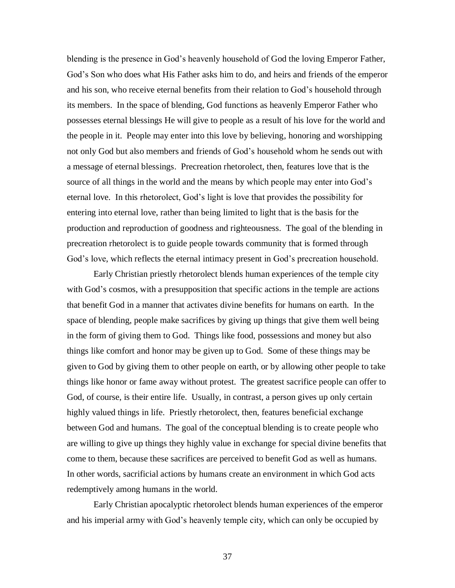blending is the presence in God's heavenly household of God the loving Emperor Father, God's Son who does what His Father asks him to do, and heirs and friends of the emperor and his son, who receive eternal benefits from their relation to God's household through its members. In the space of blending, God functions as heavenly Emperor Father who possesses eternal blessings He will give to people as a result of his love for the world and the people in it. People may enter into this love by believing, honoring and worshipping not only God but also members and friends of God's household whom he sends out with a message of eternal blessings. Precreation rhetorolect, then, features love that is the source of all things in the world and the means by which people may enter into God's eternal love. In this rhetorolect, God's light is love that provides the possibility for entering into eternal love, rather than being limited to light that is the basis for the production and reproduction of goodness and righteousness. The goal of the blending in precreation rhetorolect is to guide people towards community that is formed through God's love, which reflects the eternal intimacy present in God's precreation household.

Early Christian priestly rhetorolect blends human experiences of the temple city with God's cosmos, with a presupposition that specific actions in the temple are actions that benefit God in a manner that activates divine benefits for humans on earth. In the space of blending, people make sacrifices by giving up things that give them well being in the form of giving them to God. Things like food, possessions and money but also things like comfort and honor may be given up to God. Some of these things may be given to God by giving them to other people on earth, or by allowing other people to take things like honor or fame away without protest. The greatest sacrifice people can offer to God, of course, is their entire life. Usually, in contrast, a person gives up only certain highly valued things in life. Priestly rhetorolect, then, features beneficial exchange between God and humans. The goal of the conceptual blending is to create people who are willing to give up things they highly value in exchange for special divine benefits that come to them, because these sacrifices are perceived to benefit God as well as humans. In other words, sacrificial actions by humans create an environment in which God acts redemptively among humans in the world.

Early Christian apocalyptic rhetorolect blends human experiences of the emperor and his imperial army with God's heavenly temple city, which can only be occupied by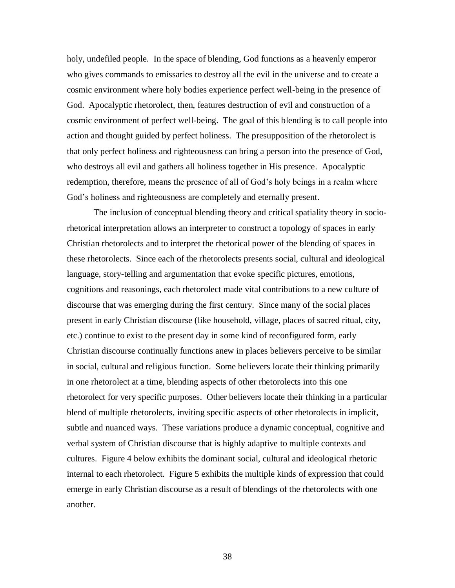holy, undefiled people. In the space of blending, God functions as a heavenly emperor who gives commands to emissaries to destroy all the evil in the universe and to create a cosmic environment where holy bodies experience perfect well-being in the presence of God. Apocalyptic rhetorolect, then, features destruction of evil and construction of a cosmic environment of perfect well-being. The goal of this blending is to call people into action and thought guided by perfect holiness. The presupposition of the rhetorolect is that only perfect holiness and righteousness can bring a person into the presence of God, who destroys all evil and gathers all holiness together in His presence. Apocalyptic redemption, therefore, means the presence of all of God's holy beings in a realm where God's holiness and righteousness are completely and eternally present.

The inclusion of conceptual blending theory and critical spatiality theory in sociorhetorical interpretation allows an interpreter to construct a topology of spaces in early Christian rhetorolects and to interpret the rhetorical power of the blending of spaces in these rhetorolects. Since each of the rhetorolects presents social, cultural and ideological language, story-telling and argumentation that evoke specific pictures, emotions, cognitions and reasonings, each rhetorolect made vital contributions to a new culture of discourse that was emerging during the first century. Since many of the social places present in early Christian discourse (like household, village, places of sacred ritual, city, etc.) continue to exist to the present day in some kind of reconfigured form, early Christian discourse continually functions anew in places believers perceive to be similar in social, cultural and religious function. Some believers locate their thinking primarily in one rhetorolect at a time, blending aspects of other rhetorolects into this one rhetorolect for very specific purposes. Other believers locate their thinking in a particular blend of multiple rhetorolects, inviting specific aspects of other rhetorolects in implicit, subtle and nuanced ways. These variations produce a dynamic conceptual, cognitive and verbal system of Christian discourse that is highly adaptive to multiple contexts and cultures. Figure 4 below exhibits the dominant social, cultural and ideological rhetoric internal to each rhetorolect. Figure 5 exhibits the multiple kinds of expression that could emerge in early Christian discourse as a result of blendings of the rhetorolects with one another.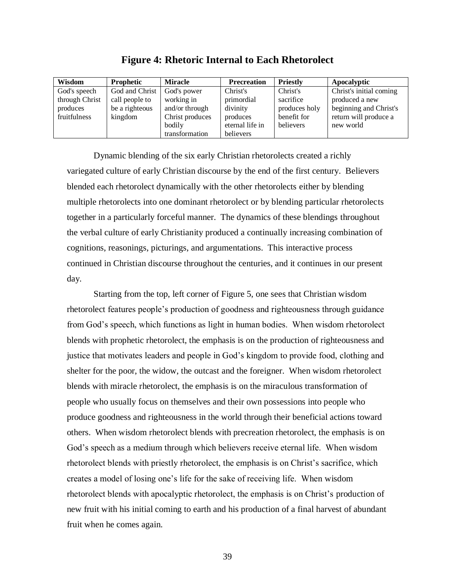| Wisdom         | <b>Prophetic</b> | <b>Miracle</b>  | <b>Precreation</b> | <b>Priestly</b>  | Apocalyptic             |
|----------------|------------------|-----------------|--------------------|------------------|-------------------------|
| God's speech   | God and Christ   | God's power     | Christ's           | Christ's         | Christ's initial coming |
| through Christ | call people to   | working in      | primordial         | sacrifice        | produced a new          |
| produces       | be a righteous   | and/or through  | divinity           | produces holy    | beginning and Christ's  |
| fruitfulness   | kingdom          | Christ produces | produces           | benefit for      | return will produce a   |
|                |                  | bodily          | eternal life in    | <b>believers</b> | new world               |
|                |                  | transformation  | believers          |                  |                         |

## **Figure 4: Rhetoric Internal to Each Rhetorolect**

Dynamic blending of the six early Christian rhetorolects created a richly variegated culture of early Christian discourse by the end of the first century. Believers blended each rhetorolect dynamically with the other rhetorolects either by blending multiple rhetorolects into one dominant rhetorolect or by blending particular rhetorolects together in a particularly forceful manner. The dynamics of these blendings throughout the verbal culture of early Christianity produced a continually increasing combination of cognitions, reasonings, picturings, and argumentations. This interactive process continued in Christian discourse throughout the centuries, and it continues in our present day.

Starting from the top, left corner of Figure 5, one sees that Christian wisdom rhetorolect features people's production of goodness and righteousness through guidance from God's speech, which functions as light in human bodies. When wisdom rhetorolect blends with prophetic rhetorolect, the emphasis is on the production of righteousness and justice that motivates leaders and people in God's kingdom to provide food, clothing and shelter for the poor, the widow, the outcast and the foreigner. When wisdom rhetorolect blends with miracle rhetorolect, the emphasis is on the miraculous transformation of people who usually focus on themselves and their own possessions into people who produce goodness and righteousness in the world through their beneficial actions toward others. When wisdom rhetorolect blends with precreation rhetorolect, the emphasis is on God's speech as a medium through which believers receive eternal life. When wisdom rhetorolect blends with priestly rhetorolect, the emphasis is on Christ's sacrifice, which creates a model of losing one's life for the sake of receiving life. When wisdom rhetorolect blends with apocalyptic rhetorolect, the emphasis is on Christ's production of new fruit with his initial coming to earth and his production of a final harvest of abundant fruit when he comes again.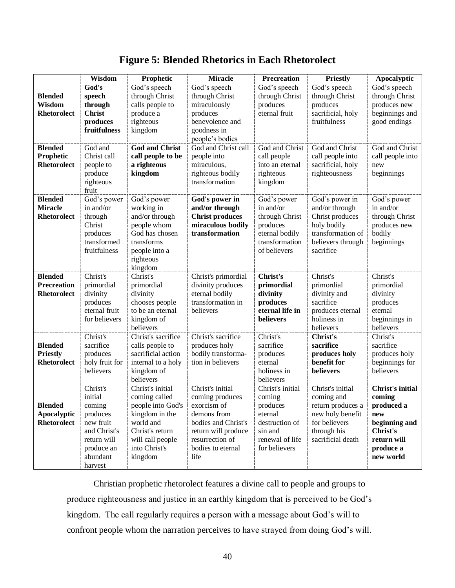|                    | Wisdom                  | Prophetic                       | <b>Miracle</b>         | <b>Precreation</b>               | <b>Priestly</b>                | Apocalyptic             |
|--------------------|-------------------------|---------------------------------|------------------------|----------------------------------|--------------------------------|-------------------------|
|                    | God's                   | God's speech                    | God's speech           | God's speech                     | God's speech                   | God's speech            |
| <b>Blended</b>     | speech                  | through Christ                  | through Christ         | through Christ                   | through Christ                 | through Christ          |
| Wisdom             | through                 | calls people to                 | miraculously           | produces                         | produces                       | produces new            |
| Rhetorolect        | <b>Christ</b>           | produce a                       | produces               | eternal fruit                    | sacrificial, holy              | beginnings and          |
|                    | produces                | righteous                       | benevolence and        |                                  | fruitfulness                   | good endings            |
|                    | fruitfulness            | kingdom                         | goodness in            |                                  |                                |                         |
|                    |                         |                                 | people's bodies        |                                  |                                |                         |
| <b>Blended</b>     | God and                 | <b>God and Christ</b>           | God and Christ call    | God and Christ                   | God and Christ                 | God and Christ          |
| Prophetic          | Christ call             | call people to be               | people into            | call people                      | call people into               | call people into        |
| Rhetorolect        | people to               | a righteous                     | miraculous,            | into an eternal                  | sacrificial, holy              | new                     |
|                    | produce                 | kingdom                         | righteous bodily       | righteous                        | righteousness                  | beginnings              |
|                    | righteous               |                                 | transformation         | kingdom                          |                                |                         |
|                    | fruit                   |                                 |                        |                                  |                                |                         |
| <b>Blended</b>     | God's power             | God's power                     | God's power in         | God's power                      | God's power in                 | God's power             |
| <b>Miracle</b>     | in and/or               | working in                      | and/or through         | in and/or                        | and/or through                 | in and/or               |
| <b>Rhetorolect</b> | through                 | and/or through                  | <b>Christ produces</b> | through Christ                   | Christ produces                | through Christ          |
|                    | Christ                  | people whom                     | miraculous bodily      | produces                         | holy bodily                    | produces new            |
|                    | produces<br>transformed | God has chosen                  | transformation         | eternal bodily<br>transformation | transformation of              | bodily                  |
|                    | fruitfulness            | transforms                      |                        | of believers                     | believers through<br>sacrifice | beginnings              |
|                    |                         | people into a                   |                        |                                  |                                |                         |
|                    |                         | righteous<br>kingdom            |                        |                                  |                                |                         |
| <b>Blended</b>     | Christ's                | Christ's                        | Christ's primordial    | Christ's                         | Christ's                       | Christ's                |
| <b>Precreation</b> | primordial              | primordial                      | divinity produces      | primordial                       | primordial                     | primordial              |
| <b>Rhetorolect</b> | divinity                | divinity                        | eternal bodily         | divinity                         | divinity and                   | divinity                |
|                    | produces                | chooses people                  | transformation in      | produces                         | sacrifice                      | produces                |
|                    | eternal fruit           | to be an eternal                | believers              | eternal life in                  | produces eternal               | eternal                 |
|                    | for believers           | kingdom of                      |                        | believers                        | holiness in                    | beginnings in           |
|                    |                         | believers                       |                        |                                  | believers                      | believers               |
|                    | Christ's                | Christ's sacrifice              | Christ's sacrifice     | Christ's                         | Christ's                       | Christ's                |
| <b>Blended</b>     | sacrifice               | calls people to                 | produces holy          | sacrifice                        | sacrifice                      | sacrifice               |
| <b>Priestly</b>    | produces                | sacrificial action              | bodily transforma-     | produces                         | produces holy                  | produces holy           |
| <b>Rhetorolect</b> | holy fruit for          | internal to a holy              | tion in believers      | eternal                          | benefit for                    | beginnings for          |
|                    | believers               | kingdom of                      |                        | holiness in                      | believers                      | believers               |
|                    |                         | believers                       |                        | believers                        |                                |                         |
|                    | Christ's                | Christ's initial                | Christ's initial       | Christ's initial                 | Christ's initial               | <b>Christ's initial</b> |
|                    | initial                 | coming called                   | coming produces        | coming                           | coming and                     | coming                  |
| <b>Blended</b>     | coming                  | people into God's   exorcism of |                        | produces                         | return produces a              | produced a              |
| Apocalyptic        | produces                | kingdom in the                  | demons from            | eternal                          | new holy benefit               | new                     |
| Rhetorolect        | new fruit               | world and                       | bodies and Christ's    | destruction of                   | for believers                  | beginning and           |
|                    | and Christ's            | Christ's return                 | return will produce    | sin and                          | through his                    | Christ's                |
|                    | return will             | will call people                | resurrection of        | renewal of life                  | sacrificial death              | return will             |
|                    | produce an              | into Christ's                   | bodies to eternal      | for believers                    |                                | produce a               |
|                    | abundant                | kingdom                         | life                   |                                  |                                | new world               |
|                    | harvest                 |                                 |                        |                                  |                                |                         |

Christian prophetic rhetorolect features a divine call to people and groups to produce righteousness and justice in an earthly kingdom that is perceived to be God's kingdom. The call regularly requires a person with a message about God's will to confront people whom the narration perceives to have strayed from doing God's will.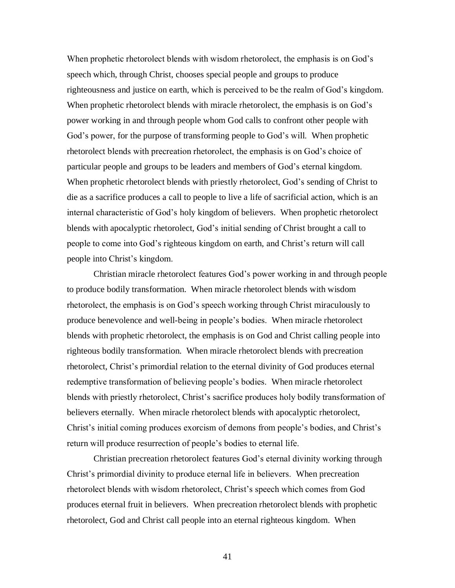When prophetic rhetorolect blends with wisdom rhetorolect, the emphasis is on God's speech which, through Christ, chooses special people and groups to produce righteousness and justice on earth, which is perceived to be the realm of God's kingdom. When prophetic rhetorolect blends with miracle rhetorolect, the emphasis is on God's power working in and through people whom God calls to confront other people with God's power, for the purpose of transforming people to God's will. When prophetic rhetorolect blends with precreation rhetorolect, the emphasis is on God's choice of particular people and groups to be leaders and members of God's eternal kingdom. When prophetic rhetorolect blends with priestly rhetorolect, God's sending of Christ to die as a sacrifice produces a call to people to live a life of sacrificial action, which is an internal characteristic of God's holy kingdom of believers. When prophetic rhetorolect blends with apocalyptic rhetorolect, God's initial sending of Christ brought a call to people to come into God's righteous kingdom on earth, and Christ's return will call people into Christ's kingdom.

Christian miracle rhetorolect features God's power working in and through people to produce bodily transformation. When miracle rhetorolect blends with wisdom rhetorolect, the emphasis is on God's speech working through Christ miraculously to produce benevolence and well-being in people's bodies. When miracle rhetorolect blends with prophetic rhetorolect, the emphasis is on God and Christ calling people into righteous bodily transformation. When miracle rhetorolect blends with precreation rhetorolect, Christ's primordial relation to the eternal divinity of God produces eternal redemptive transformation of believing people's bodies. When miracle rhetorolect blends with priestly rhetorolect, Christ's sacrifice produces holy bodily transformation of believers eternally. When miracle rhetorolect blends with apocalyptic rhetorolect, Christ's initial coming produces exorcism of demons from people's bodies, and Christ's return will produce resurrection of people's bodies to eternal life.

Christian precreation rhetorolect features God's eternal divinity working through Christ's primordial divinity to produce eternal life in believers. When precreation rhetorolect blends with wisdom rhetorolect, Christ's speech which comes from God produces eternal fruit in believers. When precreation rhetorolect blends with prophetic rhetorolect, God and Christ call people into an eternal righteous kingdom. When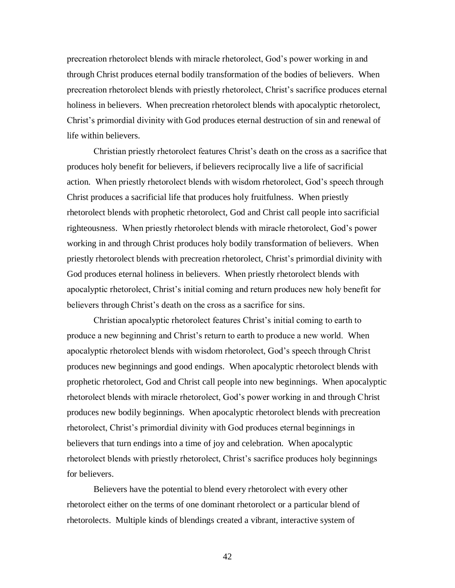precreation rhetorolect blends with miracle rhetorolect, God's power working in and through Christ produces eternal bodily transformation of the bodies of believers. When precreation rhetorolect blends with priestly rhetorolect, Christ's sacrifice produces eternal holiness in believers. When precreation rhetorolect blends with apocalyptic rhetorolect, Christ's primordial divinity with God produces eternal destruction of sin and renewal of life within believers.

Christian priestly rhetorolect features Christ's death on the cross as a sacrifice that produces holy benefit for believers, if believers reciprocally live a life of sacrificial action. When priestly rhetorolect blends with wisdom rhetorolect, God's speech through Christ produces a sacrificial life that produces holy fruitfulness. When priestly rhetorolect blends with prophetic rhetorolect, God and Christ call people into sacrificial righteousness. When priestly rhetorolect blends with miracle rhetorolect, God's power working in and through Christ produces holy bodily transformation of believers. When priestly rhetorolect blends with precreation rhetorolect, Christ's primordial divinity with God produces eternal holiness in believers. When priestly rhetorolect blends with apocalyptic rhetorolect, Christ's initial coming and return produces new holy benefit for believers through Christ's death on the cross as a sacrifice for sins.

Christian apocalyptic rhetorolect features Christ's initial coming to earth to produce a new beginning and Christ's return to earth to produce a new world. When apocalyptic rhetorolect blends with wisdom rhetorolect, God's speech through Christ produces new beginnings and good endings. When apocalyptic rhetorolect blends with prophetic rhetorolect, God and Christ call people into new beginnings. When apocalyptic rhetorolect blends with miracle rhetorolect, God's power working in and through Christ produces new bodily beginnings. When apocalyptic rhetorolect blends with precreation rhetorolect, Christ's primordial divinity with God produces eternal beginnings in believers that turn endings into a time of joy and celebration. When apocalyptic rhetorolect blends with priestly rhetorolect, Christ's sacrifice produces holy beginnings for believers.

Believers have the potential to blend every rhetorolect with every other rhetorolect either on the terms of one dominant rhetorolect or a particular blend of rhetorolects. Multiple kinds of blendings created a vibrant, interactive system of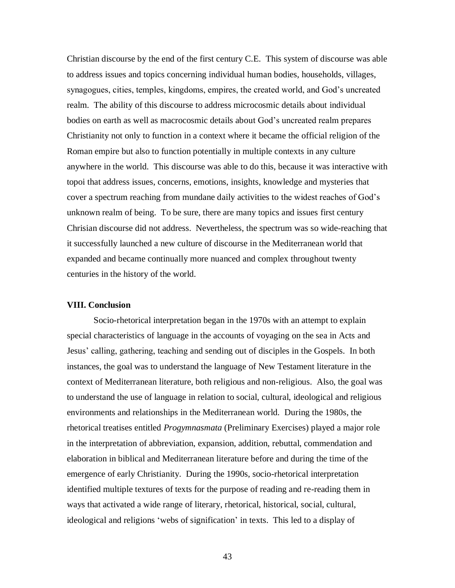Christian discourse by the end of the first century C.E. This system of discourse was able to address issues and topics concerning individual human bodies, households, villages, synagogues, cities, temples, kingdoms, empires, the created world, and God's uncreated realm. The ability of this discourse to address microcosmic details about individual bodies on earth as well as macrocosmic details about God's uncreated realm prepares Christianity not only to function in a context where it became the official religion of the Roman empire but also to function potentially in multiple contexts in any culture anywhere in the world. This discourse was able to do this, because it was interactive with topoi that address issues, concerns, emotions, insights, knowledge and mysteries that cover a spectrum reaching from mundane daily activities to the widest reaches of God's unknown realm of being. To be sure, there are many topics and issues first century Chrisian discourse did not address. Nevertheless, the spectrum was so wide-reaching that it successfully launched a new culture of discourse in the Mediterranean world that expanded and became continually more nuanced and complex throughout twenty centuries in the history of the world.

#### **VIII. Conclusion**

Socio-rhetorical interpretation began in the 1970s with an attempt to explain special characteristics of language in the accounts of voyaging on the sea in Acts and Jesus' calling, gathering, teaching and sending out of disciples in the Gospels. In both instances, the goal was to understand the language of New Testament literature in the context of Mediterranean literature, both religious and non-religious. Also, the goal was to understand the use of language in relation to social, cultural, ideological and religious environments and relationships in the Mediterranean world. During the 1980s, the rhetorical treatises entitled *Progymnasmata* (Preliminary Exercises) played a major role in the interpretation of abbreviation, expansion, addition, rebuttal, commendation and elaboration in biblical and Mediterranean literature before and during the time of the emergence of early Christianity. During the 1990s, socio-rhetorical interpretation identified multiple textures of texts for the purpose of reading and re-reading them in ways that activated a wide range of literary, rhetorical, historical, social, cultural, ideological and religions 'webs of signification' in texts. This led to a display of